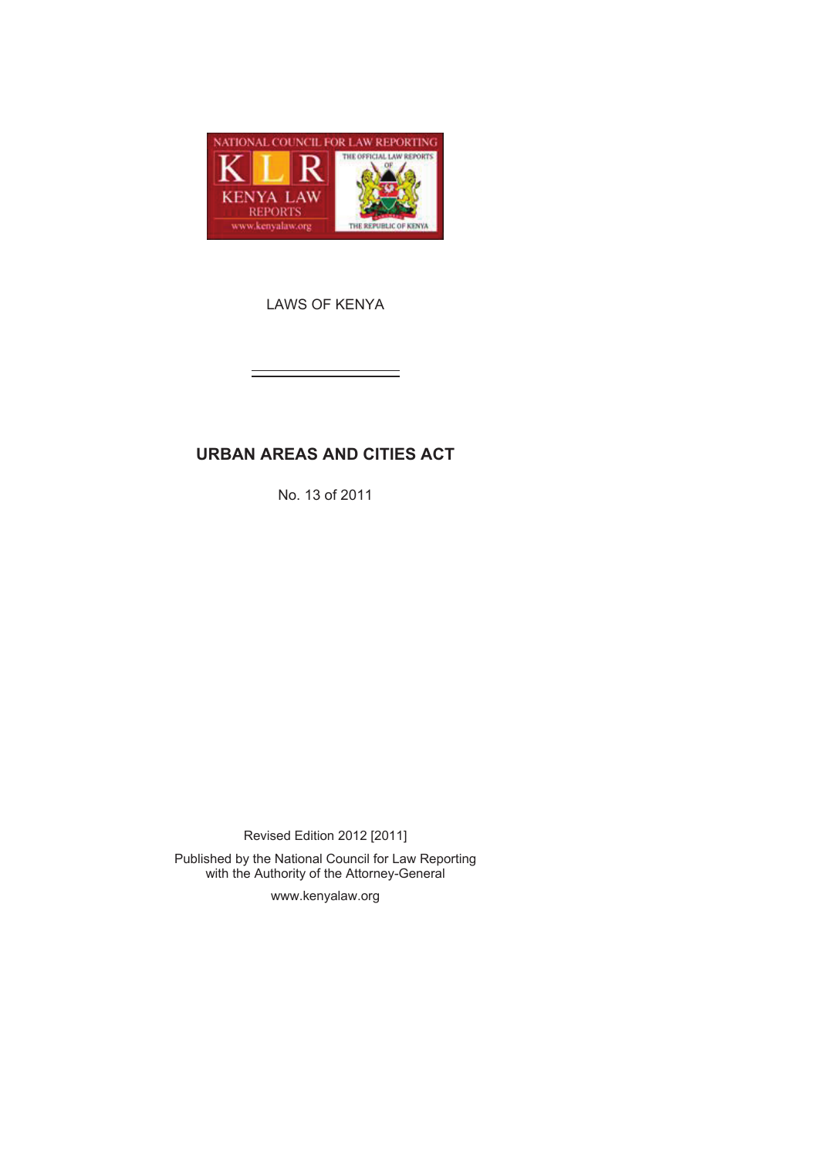

LAWS OF KENYA

# **URBAN AREAS AND CITIES ACT**

No. 13 of 2011

Revised Edition 2012 [2011] Published by the National Council for Law Reporting

with the Authority of the Attorney-General

www.kenyalaw.org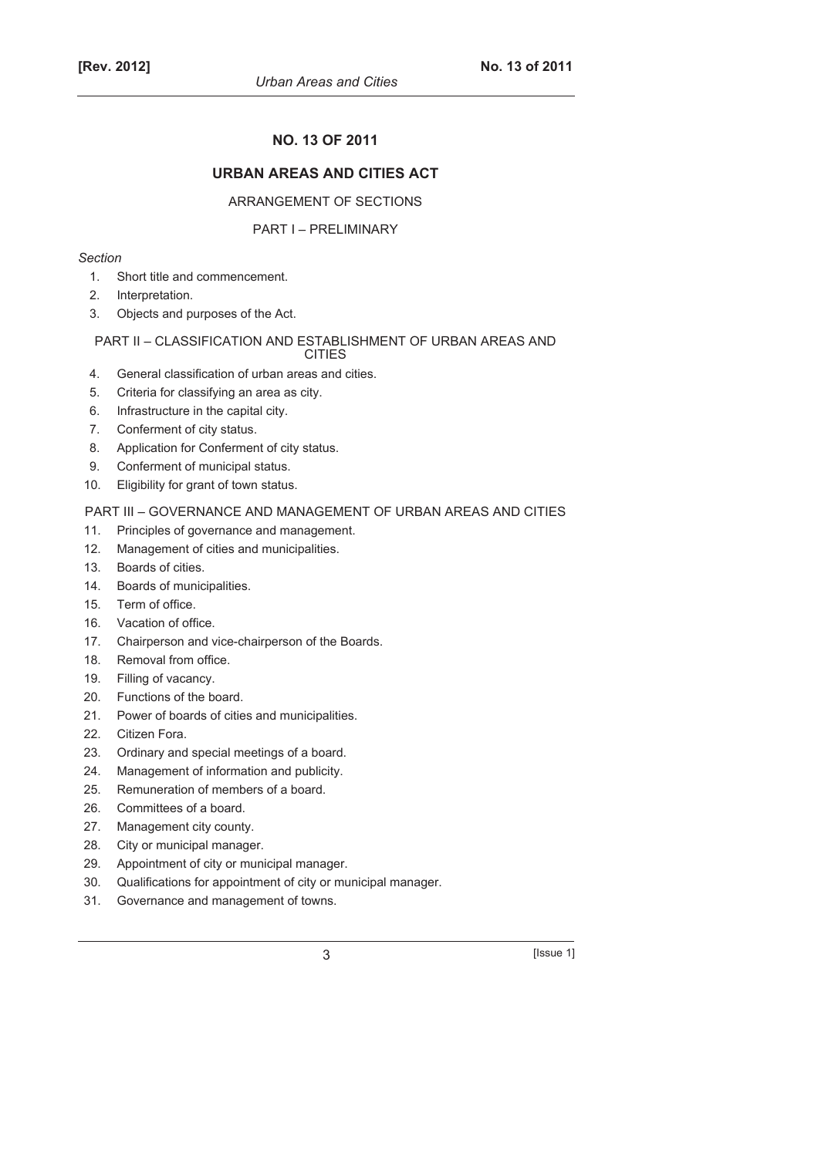# **NO. 13 OF 2011**

# **URBAN AREAS AND CITIES ACT**

### ARRANGEMENT OF SECTIONS

#### PART I – PRELIMINARY

#### *Section*

- 1. Short title and commencement.
- 2. Interpretation.
- 3. Objects and purposes of the Act.

### PART II – CLASSIFICATION AND ESTABLISHMENT OF URBAN AREAS AND

CITIES

- 4. General classification of urban areas and cities.
- 5. Criteria for classifying an area as city.
- 6. Infrastructure in the capital city.
- 7. Conferment of city status.
- 8. Application for Conferment of city status.
- 9. Conferment of municipal status.
- 10. Eligibility for grant of town status.

#### PART III – GOVERNANCE AND MANAGEMENT OF URBAN AREAS AND CITIES

- 11. Principles of governance and management.
- 12. Management of cities and municipalities.
- 13. Boards of cities.
- 14. Boards of municipalities.
- 15. Term of office.
- 16. Vacation of office.
- 17. Chairperson and vice-chairperson of the Boards.
- 18. Removal from office.
- 19. Filling of vacancy.
- 20. Functions of the board.
- 21. Power of boards of cities and municipalities.
- 22. Citizen Fora.
- 23. Ordinary and special meetings of a board.
- 24. Management of information and publicity.
- 25. Remuneration of members of a board.
- 26. Committees of a board.
- 27. Management city county.
- 28. City or municipal manager.
- 29. Appointment of city or municipal manager.
- 30. Qualifications for appointment of city or municipal manager.
- 31. Governance and management of towns.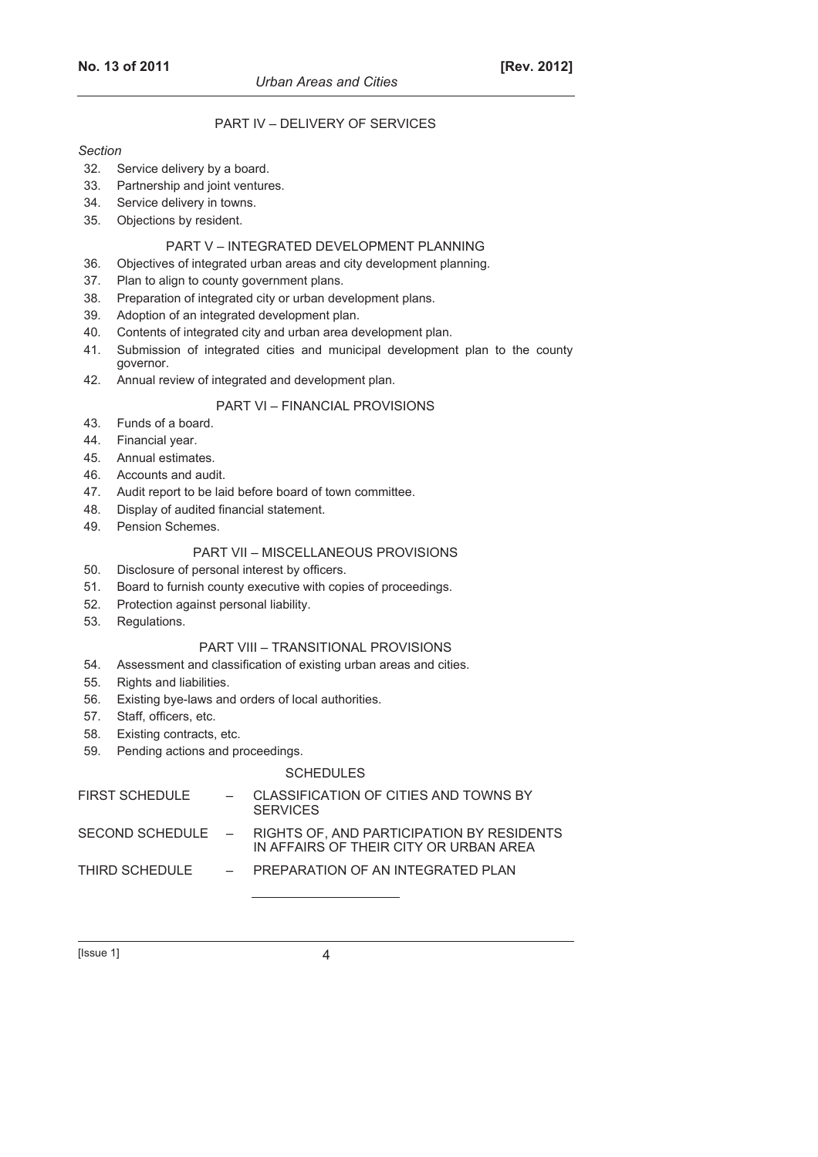### PART IV – DELIVERY OF SERVICES

#### *Section*

- 32. Service delivery by a board.
- 33. Partnership and joint ventures.
- 34. Service delivery in towns.
- 35. Objections by resident.

#### PART V – INTEGRATED DEVELOPMENT PLANNING

- 36. Objectives of integrated urban areas and city development planning.
- 37. Plan to align to county government plans.
- 38. Preparation of integrated city or urban development plans.
- 39. Adoption of an integrated development plan.
- 40. Contents of integrated city and urban area development plan.
- 41. Submission of integrated cities and municipal development plan to the county governor.
- 42. Annual review of integrated and development plan.

#### PART VI – FINANCIAL PROVISIONS

- 43. Funds of a board.
- 44. Financial year.
- 45. Annual estimates.
- 46. Accounts and audit.
- 47. Audit report to be laid before board of town committee.
- 48. Display of audited financial statement.
- 49. Pension Schemes.

### PART VII – MISCELLANEOUS PROVISIONS

- 50. Disclosure of personal interest by officers.
- 51. Board to furnish county executive with copies of proceedings.
- 52. Protection against personal liability.
- 53. Regulations.

#### PART VIII – TRANSITIONAL PROVISIONS

- 54. Assessment and classification of existing urban areas and cities.
- 55. Rights and liabilities.
- 56. Existing bye-laws and orders of local authorities.
- 57. Staff, officers, etc.
- 58. Existing contracts, etc.
- 59. Pending actions and proceedings.

#### **SCHEDULES**

| <b>FIRST SCHEDULE</b> | - CLASSIFICATION OF CITIES AND TOWNS BY<br><b>SERVICES</b>                                            |
|-----------------------|-------------------------------------------------------------------------------------------------------|
|                       | SECOND SCHEDULE – RIGHTS OF. AND PARTICIPATION BY RESIDENTS<br>IN AFFAIRS OF THEIR CITY OR URBAN AREA |
| THIRD SCHEDULE        | - PREPARATION OF AN INTEGRATED PLAN                                                                   |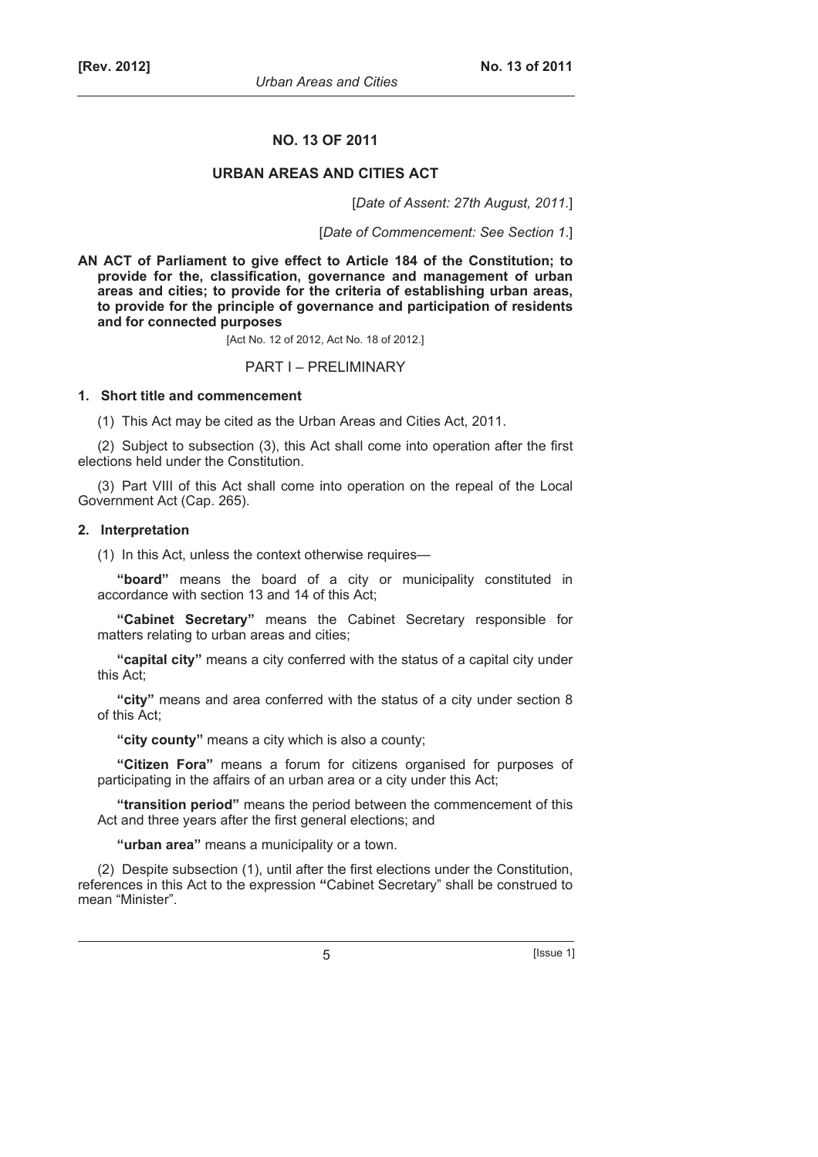#### **NO. 13 OF 2011**

### **URBAN AREAS AND CITIES ACT**

[*Date of Assent: 27th August, 2011.*]

[*Date of Commencement: See Section 1*.]

**AN ACT of Parliament to give effect to Article 184 of the Constitution; to provide for the, classification, governance and management of urban areas and cities; to provide for the criteria of establishing urban areas, to provide for the principle of governance and participation of residents and for connected purposes** 

[Act No. 12 of 2012, Act No. 18 of 2012.]

#### PART I – PRELIMINARY

#### **1. Short title and commencement**

(1) This Act may be cited as the Urban Areas and Cities Act, 2011.

(2) Subject to subsection (3), this Act shall come into operation after the first elections held under the Constitution.

(3) Part VIII of this Act shall come into operation on the repeal of the Local Government Act (Cap. 265).

#### **2. Interpretation**

(1) In this Act, unless the context otherwise requires—

**"board"** means the board of a city or municipality constituted in accordance with section 13 and 14 of this Act;

**"Cabinet Secretary"** means the Cabinet Secretary responsible for matters relating to urban areas and cities;

**"capital city"** means a city conferred with the status of a capital city under this Act;

**"city"** means and area conferred with the status of a city under section 8 of this Act;

**"city county"** means a city which is also a county;

**"Citizen Fora"** means a forum for citizens organised for purposes of participating in the affairs of an urban area or a city under this Act;

**"transition period"** means the period between the commencement of this Act and three years after the first general elections; and

**"urban area"** means a municipality or a town.

(2) Despite subsection (1), until after the first elections under the Constitution, references in this Act to the expression **"**Cabinet Secretary" shall be construed to mean "Minister".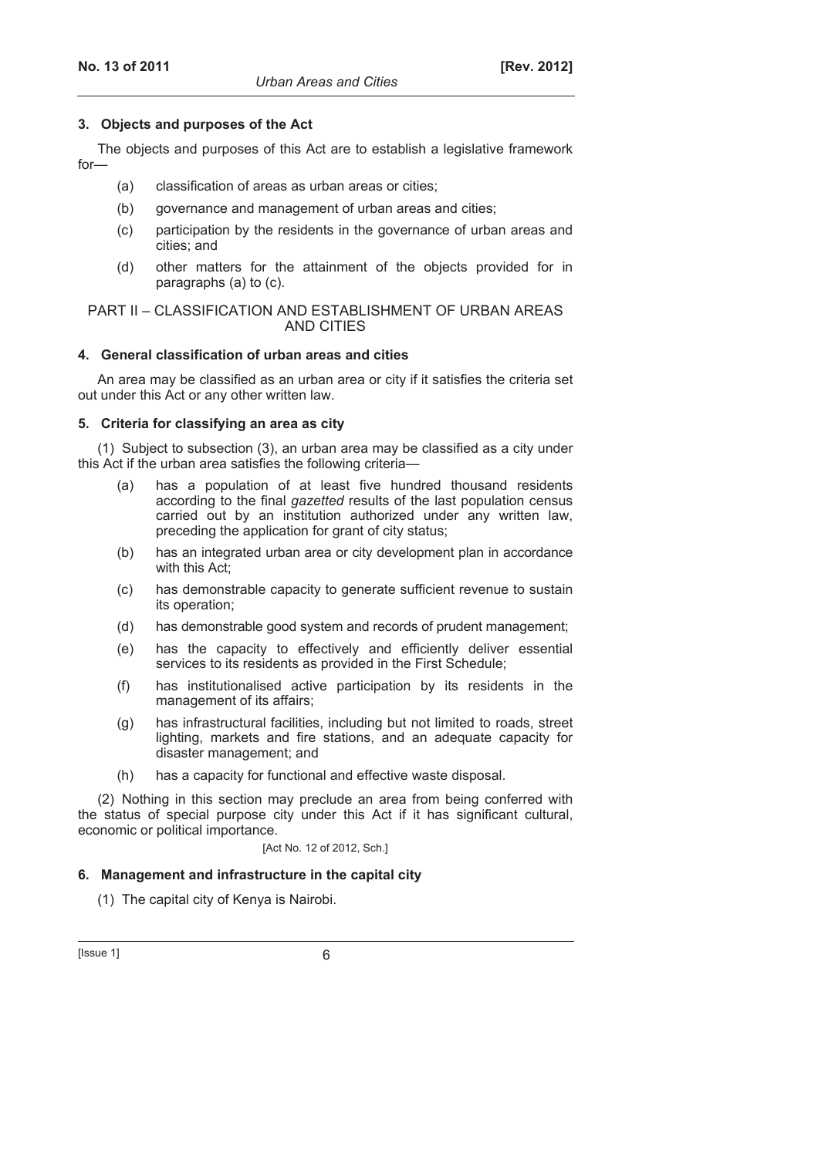### **3. Objects and purposes of the Act**

The objects and purposes of this Act are to establish a legislative framework for—

- (a) classification of areas as urban areas or cities;
- (b) governance and management of urban areas and cities;
- (c) participation by the residents in the governance of urban areas and cities; and
- (d) other matters for the attainment of the objects provided for in paragraphs (a) to (c).

#### PART II – CLASSIFICATION AND ESTABLISHMENT OF URBAN AREAS AND CITIES

#### **4. General classification of urban areas and cities**

An area may be classified as an urban area or city if it satisfies the criteria set out under this Act or any other written law.

#### **5. Criteria for classifying an area as city**

(1) Subject to subsection (3), an urban area may be classified as a city under this Act if the urban area satisfies the following criteria—

- (a) has a population of at least five hundred thousand residents according to the final *gazetted* results of the last population census carried out by an institution authorized under any written law, preceding the application for grant of city status;
- (b) has an integrated urban area or city development plan in accordance with this Act;
- (c) has demonstrable capacity to generate sufficient revenue to sustain its operation;
- (d) has demonstrable good system and records of prudent management;
- (e) has the capacity to effectively and efficiently deliver essential services to its residents as provided in the First Schedule;
- (f) has institutionalised active participation by its residents in the management of its affairs;
- (g) has infrastructural facilities, including but not limited to roads, street lighting, markets and fire stations, and an adequate capacity for disaster management; and
- (h) has a capacity for functional and effective waste disposal.

(2) Nothing in this section may preclude an area from being conferred with the status of special purpose city under this Act if it has significant cultural, economic or political importance.

[Act No. 12 of 2012, Sch.]

### **6. Management and infrastructure in the capital city**

(1) The capital city of Kenya is Nairobi.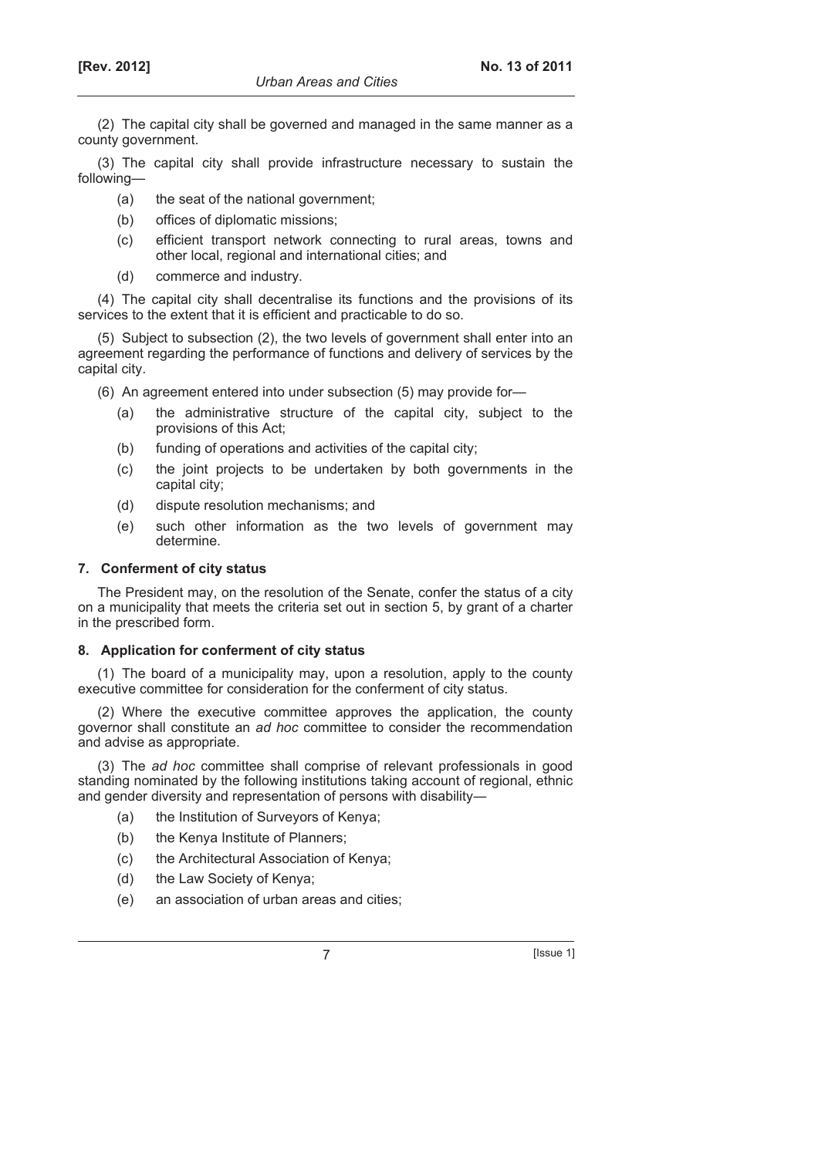(2) The capital city shall be governed and managed in the same manner as a county government.

(3) The capital city shall provide infrastructure necessary to sustain the following—

- (a) the seat of the national government;
- (b) offices of diplomatic missions;
- (c) efficient transport network connecting to rural areas, towns and other local, regional and international cities; and
- (d) commerce and industry.

(4) The capital city shall decentralise its functions and the provisions of its services to the extent that it is efficient and practicable to do so.

(5) Subject to subsection (2), the two levels of government shall enter into an agreement regarding the performance of functions and delivery of services by the capital city.

(6) An agreement entered into under subsection (5) may provide for—

- (a) the administrative structure of the capital city, subject to the provisions of this Act;
- (b) funding of operations and activities of the capital city;
- (c) the joint projects to be undertaken by both governments in the capital city;
- (d) dispute resolution mechanisms; and
- (e) such other information as the two levels of government may determine.

#### **7. Conferment of city status**

The President may, on the resolution of the Senate, confer the status of a city on a municipality that meets the criteria set out in section 5, by grant of a charter in the prescribed form.

#### **8. Application for conferment of city status**

(1) The board of a municipality may, upon a resolution, apply to the county executive committee for consideration for the conferment of city status.

(2) Where the executive committee approves the application, the county governor shall constitute an *ad hoc* committee to consider the recommendation and advise as appropriate.

(3) The *ad hoc* committee shall comprise of relevant professionals in good standing nominated by the following institutions taking account of regional, ethnic and gender diversity and representation of persons with disability―

- (a) the Institution of Surveyors of Kenya;
- (b) the Kenya Institute of Planners;
- (c) the Architectural Association of Kenya;
- (d) the Law Society of Kenya;
- (e) an association of urban areas and cities;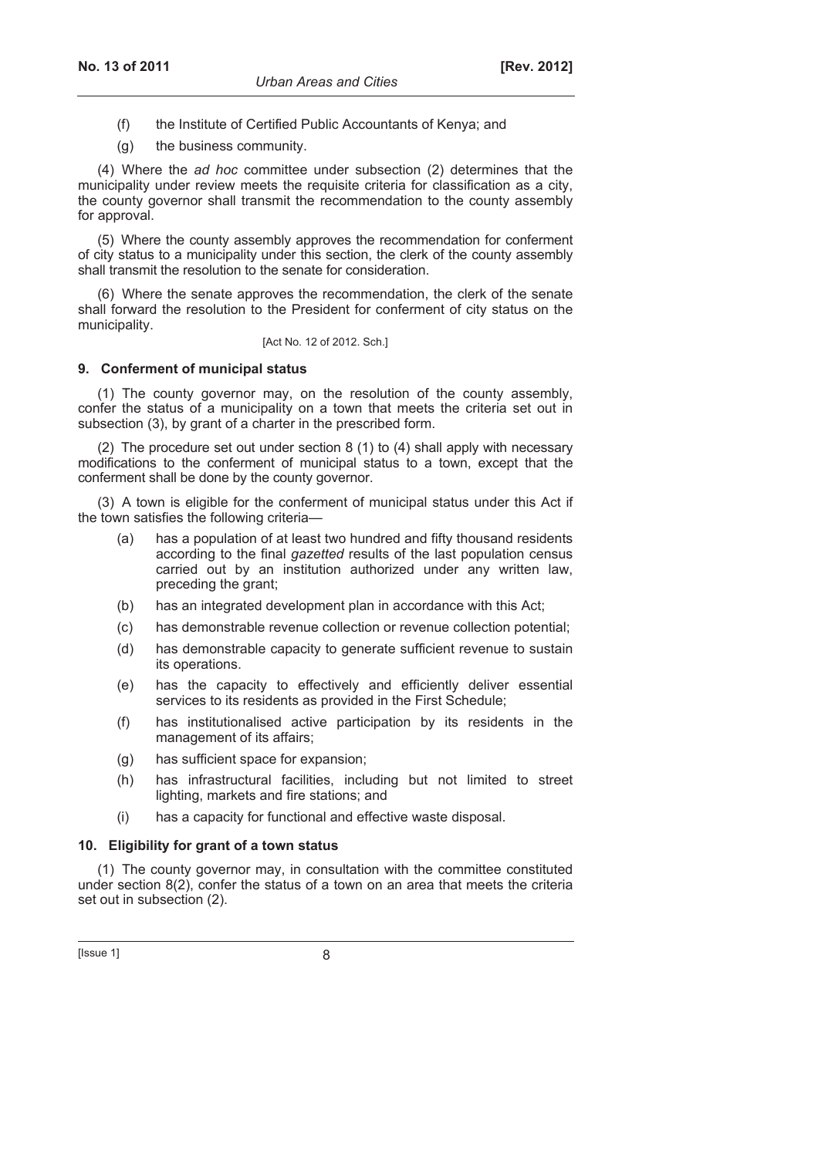- (f) the Institute of Certified Public Accountants of Kenya; and
- (g) the business community.

(4) Where the *ad hoc* committee under subsection (2) determines that the municipality under review meets the requisite criteria for classification as a city, the county governor shall transmit the recommendation to the county assembly for approval.

(5) Where the county assembly approves the recommendation for conferment of city status to a municipality under this section, the clerk of the county assembly shall transmit the resolution to the senate for consideration.

(6) Where the senate approves the recommendation, the clerk of the senate shall forward the resolution to the President for conferment of city status on the municipality.

[Act No. 12 of 2012. Sch.]

#### **9. Conferment of municipal status**

(1) The county governor may, on the resolution of the county assembly, confer the status of a municipality on a town that meets the criteria set out in subsection (3), by grant of a charter in the prescribed form.

(2) The procedure set out under section 8 (1) to (4) shall apply with necessary modifications to the conferment of municipal status to a town, except that the conferment shall be done by the county governor.

(3) A town is eligible for the conferment of municipal status under this Act if the town satisfies the following criteria—

- (a) has a population of at least two hundred and fifty thousand residents according to the final *gazetted* results of the last population census carried out by an institution authorized under any written law, preceding the grant;
- (b) has an integrated development plan in accordance with this Act;
- (c) has demonstrable revenue collection or revenue collection potential;
- (d) has demonstrable capacity to generate sufficient revenue to sustain its operations.
- (e) has the capacity to effectively and efficiently deliver essential services to its residents as provided in the First Schedule;
- (f) has institutionalised active participation by its residents in the management of its affairs;
- (g) has sufficient space for expansion;
- (h) has infrastructural facilities, including but not limited to street lighting, markets and fire stations; and
- (i) has a capacity for functional and effective waste disposal.

#### **10. Eligibility for grant of a town status**

(1) The county governor may, in consultation with the committee constituted under section  $8(2)$ , confer the status of a town on an area that meets the criteria set out in subsection (2).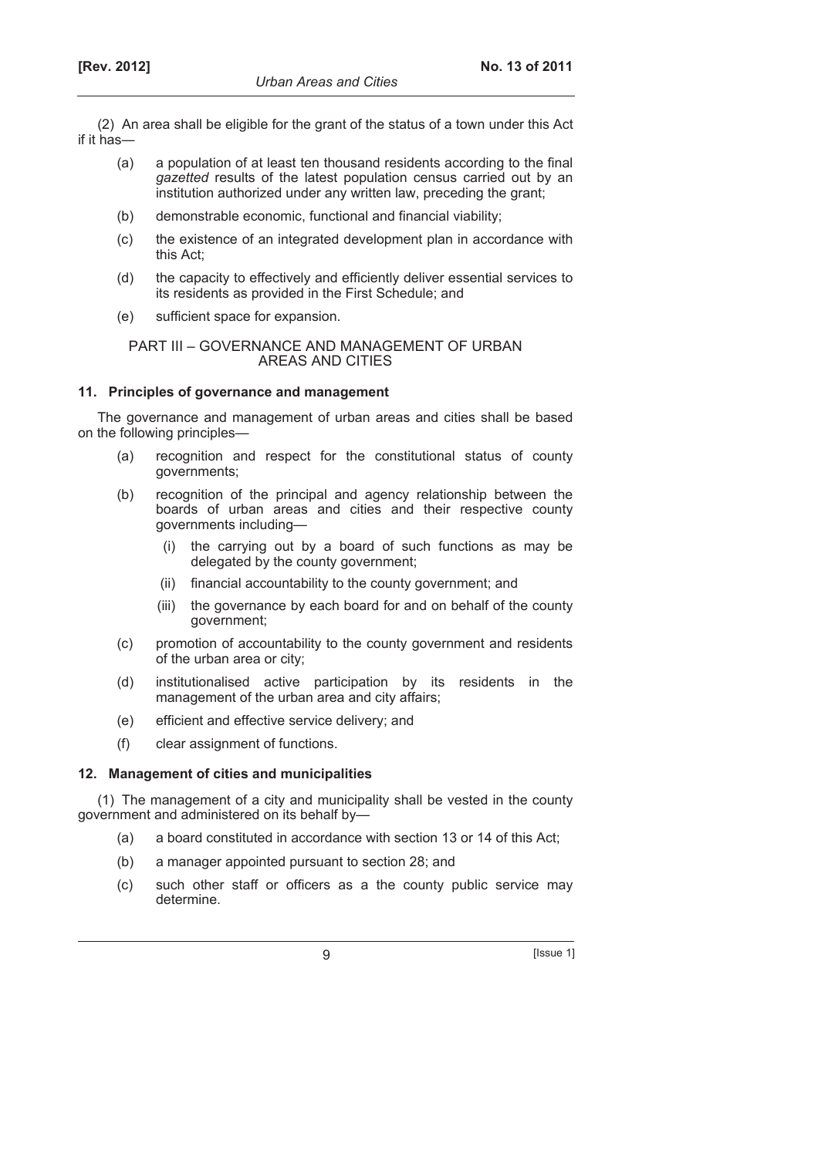(2) An area shall be eligible for the grant of the status of a town under this Act if it has―

- (a) a population of at least ten thousand residents according to the final *gazetted* results of the latest population census carried out by an institution authorized under any written law, preceding the grant;
- (b) demonstrable economic, functional and financial viability;
- (c) the existence of an integrated development plan in accordance with this Act;
- (d) the capacity to effectively and efficiently deliver essential services to its residents as provided in the First Schedule; and
- (e) sufficient space for expansion.

# PART III – GOVERNANCE AND MANAGEMENT OF URBAN AREAS AND CITIES

# **11. Principles of governance and management**

The governance and management of urban areas and cities shall be based on the following principles—

- (a) recognition and respect for the constitutional status of county governments;
- (b) recognition of the principal and agency relationship between the boards of urban areas and cities and their respective county governments including—
	- (i) the carrying out by a board of such functions as may be delegated by the county government;
	- (ii) financial accountability to the county government; and
	- (iii) the governance by each board for and on behalf of the county government;
- (c) promotion of accountability to the county government and residents of the urban area or city;
- (d) institutionalised active participation by its residents in the management of the urban area and city affairs;
- (e) efficient and effective service delivery; and
- (f) clear assignment of functions.

# **12. Management of cities and municipalities**

(1) The management of a city and municipality shall be vested in the county government and administered on its behalf by—

- (a) a board constituted in accordance with section 13 or 14 of this Act;
- (b) a manager appointed pursuant to section 28; and
- (c) such other staff or officers as a the county public service may determine.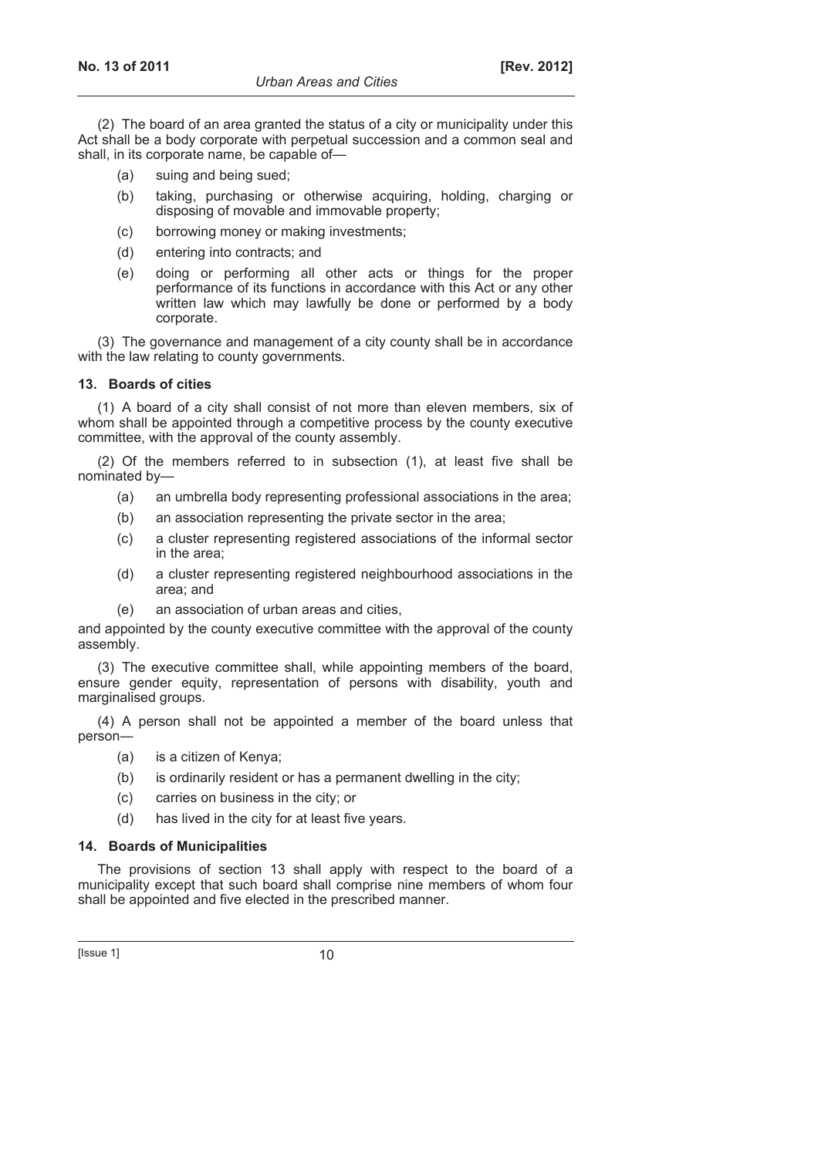(2) The board of an area granted the status of a city or municipality under this Act shall be a body corporate with perpetual succession and a common seal and shall, in its corporate name, be capable of—

- (a) suing and being sued;
- (b) taking, purchasing or otherwise acquiring, holding, charging or disposing of movable and immovable property;
- (c) borrowing money or making investments;
- (d) entering into contracts; and
- (e) doing or performing all other acts or things for the proper performance of its functions in accordance with this Act or any other written law which may lawfully be done or performed by a body corporate.

(3) The governance and management of a city county shall be in accordance with the law relating to county governments.

### **13. Boards of cities**

(1) A board of a city shall consist of not more than eleven members, six of whom shall be appointed through a competitive process by the county executive committee, with the approval of the county assembly.

(2) Of the members referred to in subsection (1), at least five shall be nominated by—

- (a) an umbrella body representing professional associations in the area;
- (b) an association representing the private sector in the area;
- (c) a cluster representing registered associations of the informal sector in the area;
- (d) a cluster representing registered neighbourhood associations in the area; and
- (e) an association of urban areas and cities,

and appointed by the county executive committee with the approval of the county assembly.

(3) The executive committee shall, while appointing members of the board, ensure gender equity, representation of persons with disability, youth and marginalised groups.

(4) A person shall not be appointed a member of the board unless that person―

- (a) is a citizen of Kenya;
- (b) is ordinarily resident or has a permanent dwelling in the city;
- (c) carries on business in the city; or
- (d) has lived in the city for at least five years.

### **14. Boards of Municipalities**

The provisions of section 13 shall apply with respect to the board of a municipality except that such board shall comprise nine members of whom four shall be appointed and five elected in the prescribed manner.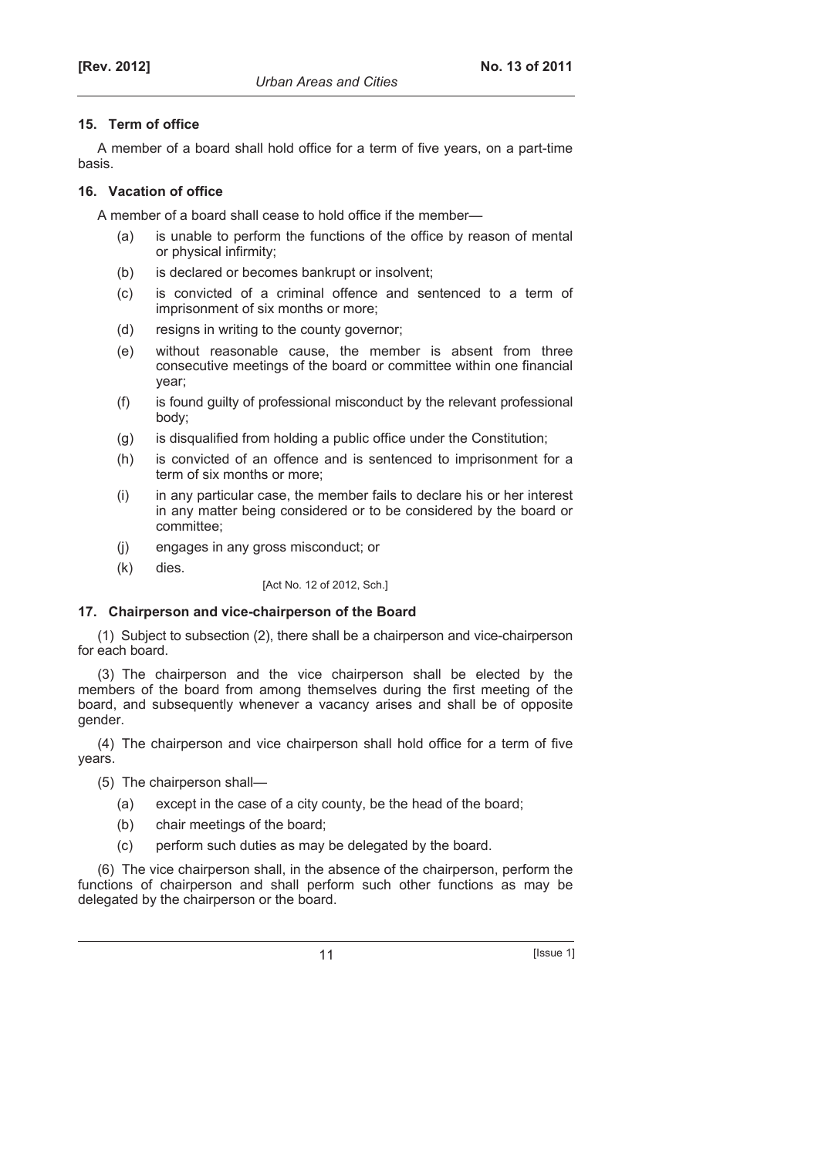# **15. Term of office**

A member of a board shall hold office for a term of five years, on a part-time basis.

# **16. Vacation of office**

A member of a board shall cease to hold office if the member—

- (a) is unable to perform the functions of the office by reason of mental or physical infirmity;
- (b) is declared or becomes bankrupt or insolvent;
- (c) is convicted of a criminal offence and sentenced to a term of imprisonment of six months or more;
- (d) resigns in writing to the county governor;
- (e) without reasonable cause, the member is absent from three consecutive meetings of the board or committee within one financial year;
- (f) is found guilty of professional misconduct by the relevant professional body;
- (g) is disqualified from holding a public office under the Constitution;
- (h) is convicted of an offence and is sentenced to imprisonment for a term of six months or more;
- (i) in any particular case, the member fails to declare his or her interest in any matter being considered or to be considered by the board or committee;
- (j) engages in any gross misconduct; or
- (k) dies.

[Act No. 12 of 2012, Sch.]

# **17. Chairperson and vice-chairperson of the Board**

(1) Subject to subsection (2), there shall be a chairperson and vice-chairperson for each board.

(3) The chairperson and the vice chairperson shall be elected by the members of the board from among themselves during the first meeting of the board, and subsequently whenever a vacancy arises and shall be of opposite gender.

(4) The chairperson and vice chairperson shall hold office for a term of five years.

(5) The chairperson shall—

- (a) except in the case of a city county, be the head of the board;
- (b) chair meetings of the board;
- (c) perform such duties as may be delegated by the board.

(6) The vice chairperson shall, in the absence of the chairperson, perform the functions of chairperson and shall perform such other functions as may be delegated by the chairperson or the board.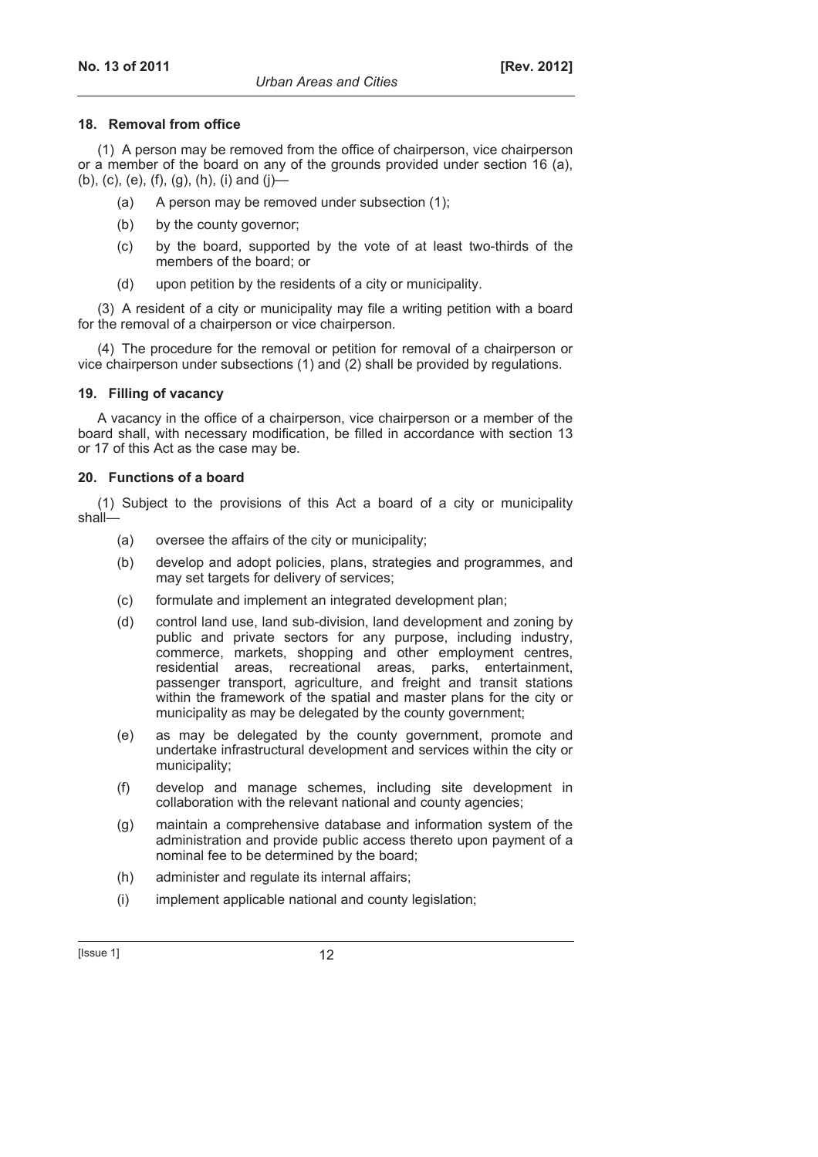#### **18. Removal from office**

(1) A person may be removed from the office of chairperson, vice chairperson or a member of the board on any of the grounds provided under section 16 (a), (b), (c), (e), (f), (g), (h), (i) and (j)—

- (a) A person may be removed under subsection (1);
- (b) by the county governor;
- (c) by the board, supported by the vote of at least two-thirds of the members of the board; or
- (d) upon petition by the residents of a city or municipality.

(3) A resident of a city or municipality may file a writing petition with a board for the removal of a chairperson or vice chairperson.

(4) The procedure for the removal or petition for removal of a chairperson or vice chairperson under subsections (1) and (2) shall be provided by regulations.

#### **19. Filling of vacancy**

A vacancy in the office of a chairperson, vice chairperson or a member of the board shall, with necessary modification, be filled in accordance with section 13 or 17 of this Act as the case may be.

#### **20. Functions of a board**

(1) Subject to the provisions of this Act a board of a city or municipality shall—

- (a) oversee the affairs of the city or municipality;
- (b) develop and adopt policies, plans, strategies and programmes, and may set targets for delivery of services;
- (c) formulate and implement an integrated development plan;
- (d) control land use, land sub-division, land development and zoning by public and private sectors for any purpose, including industry, commerce, markets, shopping and other employment centres, residential areas, recreational areas, parks, entertainment, passenger transport, agriculture, and freight and transit stations within the framework of the spatial and master plans for the city or municipality as may be delegated by the county government;
- (e) as may be delegated by the county government, promote and undertake infrastructural development and services within the city or municipality;
- (f) develop and manage schemes, including site development in collaboration with the relevant national and county agencies;
- (g) maintain a comprehensive database and information system of the administration and provide public access thereto upon payment of a nominal fee to be determined by the board;
- (h) administer and regulate its internal affairs;
- (i) implement applicable national and county legislation;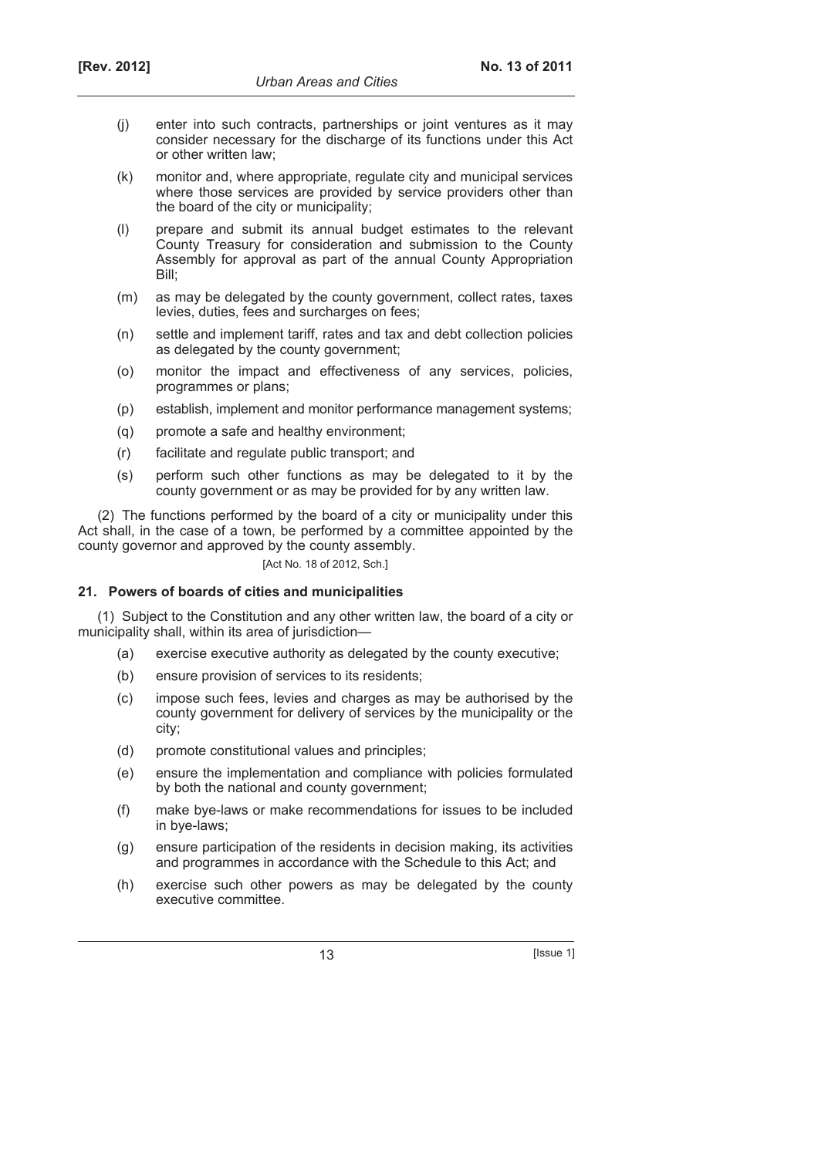- (j) enter into such contracts, partnerships or joint ventures as it may consider necessary for the discharge of its functions under this Act or other written law;
- (k) monitor and, where appropriate, regulate city and municipal services where those services are provided by service providers other than the board of the city or municipality;
- (l) prepare and submit its annual budget estimates to the relevant County Treasury for consideration and submission to the County Assembly for approval as part of the annual County Appropriation Bill;
- (m) as may be delegated by the county government, collect rates, taxes levies, duties, fees and surcharges on fees;
- (n) settle and implement tariff, rates and tax and debt collection policies as delegated by the county government;
- (o) monitor the impact and effectiveness of any services, policies, programmes or plans;
- (p) establish, implement and monitor performance management systems;
- (q) promote a safe and healthy environment;
- (r) facilitate and regulate public transport; and
- (s) perform such other functions as may be delegated to it by the county government or as may be provided for by any written law.

(2) The functions performed by the board of a city or municipality under this Act shall, in the case of a town, be performed by a committee appointed by the county governor and approved by the county assembly.

[Act No. 18 of 2012, Sch.]

### **21. Powers of boards of cities and municipalities**

(1) Subject to the Constitution and any other written law, the board of a city or municipality shall, within its area of jurisdiction—

- (a) exercise executive authority as delegated by the county executive;
- (b) ensure provision of services to its residents;
- (c) impose such fees, levies and charges as may be authorised by the county government for delivery of services by the municipality or the city;
- (d) promote constitutional values and principles;
- (e) ensure the implementation and compliance with policies formulated by both the national and county government;
- (f) make bye-laws or make recommendations for issues to be included in bye-laws;
- (g) ensure participation of the residents in decision making, its activities and programmes in accordance with the Schedule to this Act; and
- (h) exercise such other powers as may be delegated by the county executive committee.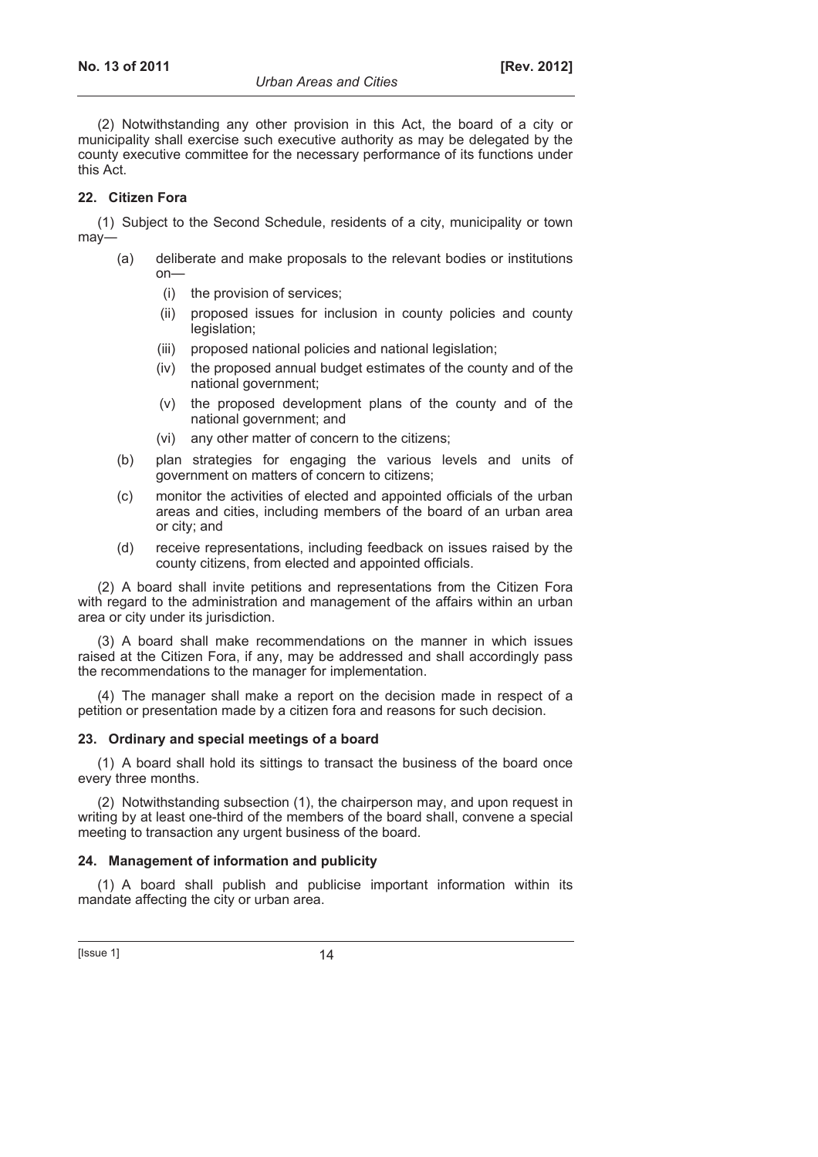(2) Notwithstanding any other provision in this Act, the board of a city or municipality shall exercise such executive authority as may be delegated by the county executive committee for the necessary performance of its functions under this Act.

# **22. Citizen Fora**

(1) Subject to the Second Schedule, residents of a city, municipality or town may―

- (a) deliberate and make proposals to the relevant bodies or institutions on—
	- (i) the provision of services;
	- (ii) proposed issues for inclusion in county policies and county legislation;
	- (iii) proposed national policies and national legislation;
	- (iv) the proposed annual budget estimates of the county and of the national government;
	- (v) the proposed development plans of the county and of the national government; and
	- (vi) any other matter of concern to the citizens;
- (b) plan strategies for engaging the various levels and units of government on matters of concern to citizens;
- (c) monitor the activities of elected and appointed officials of the urban areas and cities, including members of the board of an urban area or city; and
- (d) receive representations, including feedback on issues raised by the county citizens, from elected and appointed officials.

(2) A board shall invite petitions and representations from the Citizen Fora with regard to the administration and management of the affairs within an urban area or city under its jurisdiction.

(3) A board shall make recommendations on the manner in which issues raised at the Citizen Fora, if any, may be addressed and shall accordingly pass the recommendations to the manager for implementation.

(4) The manager shall make a report on the decision made in respect of a petition or presentation made by a citizen fora and reasons for such decision.

# **23. Ordinary and special meetings of a board**

(1) A board shall hold its sittings to transact the business of the board once every three months.

(2) Notwithstanding subsection (1), the chairperson may, and upon request in writing by at least one-third of the members of the board shall, convene a special meeting to transaction any urgent business of the board.

# **24. Management of information and publicity**

(1) A board shall publish and publicise important information within its mandate affecting the city or urban area.

 $[|$  Issue 1 $]$  14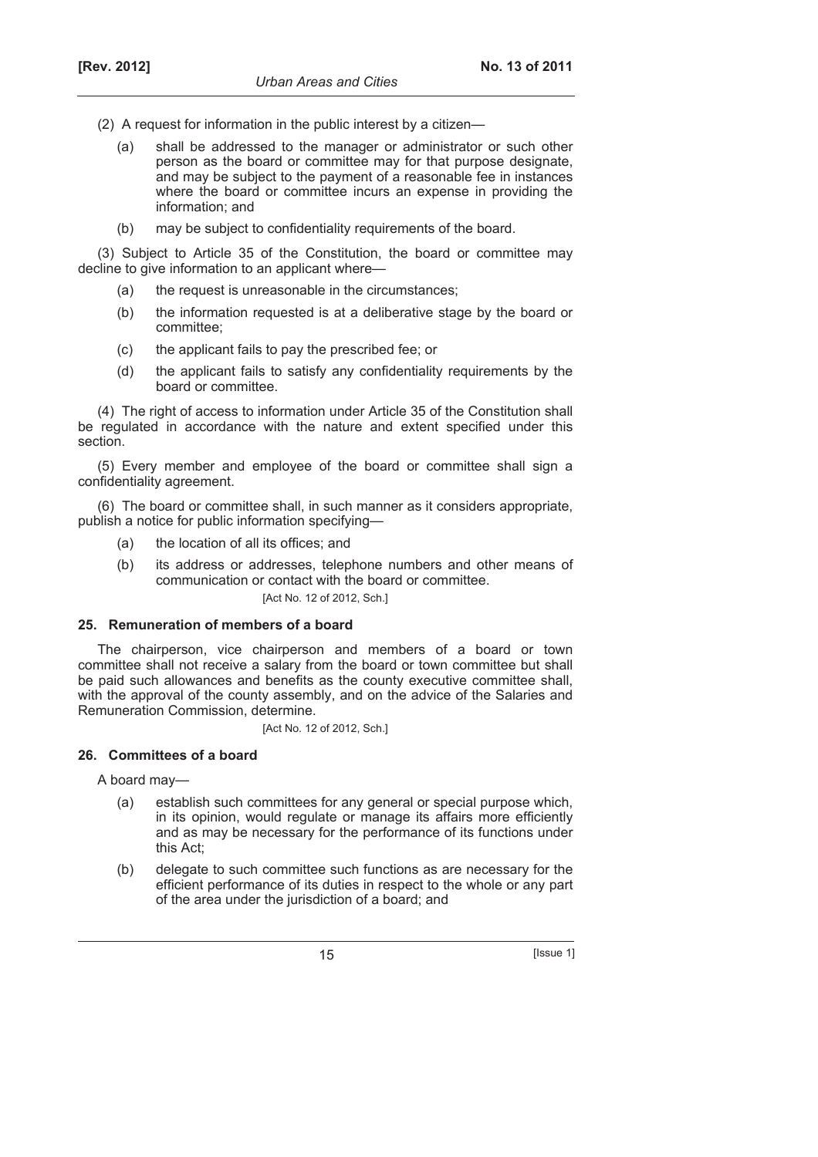- (2) A request for information in the public interest by a citizen—
	- (a) shall be addressed to the manager or administrator or such other person as the board or committee may for that purpose designate, and may be subject to the payment of a reasonable fee in instances where the board or committee incurs an expense in providing the information; and
	- (b) may be subject to confidentiality requirements of the board.

(3) Subject to Article 35 of the Constitution, the board or committee may decline to give information to an applicant where—

- (a) the request is unreasonable in the circumstances;
- (b) the information requested is at a deliberative stage by the board or committee;
- (c) the applicant fails to pay the prescribed fee; or
- (d) the applicant fails to satisfy any confidentiality requirements by the board or committee.

(4) The right of access to information under Article 35 of the Constitution shall be regulated in accordance with the nature and extent specified under this section.

(5) Every member and employee of the board or committee shall sign a confidentiality agreement.

(6) The board or committee shall, in such manner as it considers appropriate, publish a notice for public information specifying—

- (a) the location of all its offices; and
- (b) its address or addresses, telephone numbers and other means of communication or contact with the board or committee. [Act No. 12 of 2012, Sch.]

### **25. Remuneration of members of a board**

The chairperson, vice chairperson and members of a board or town committee shall not receive a salary from the board or town committee but shall be paid such allowances and benefits as the county executive committee shall, with the approval of the county assembly, and on the advice of the Salaries and Remuneration Commission, determine.

[Act No. 12 of 2012, Sch.]

# **26. Committees of a board**

A board may—

- (a) establish such committees for any general or special purpose which, in its opinion, would regulate or manage its affairs more efficiently and as may be necessary for the performance of its functions under this Act;
- (b) delegate to such committee such functions as are necessary for the efficient performance of its duties in respect to the whole or any part of the area under the jurisdiction of a board; and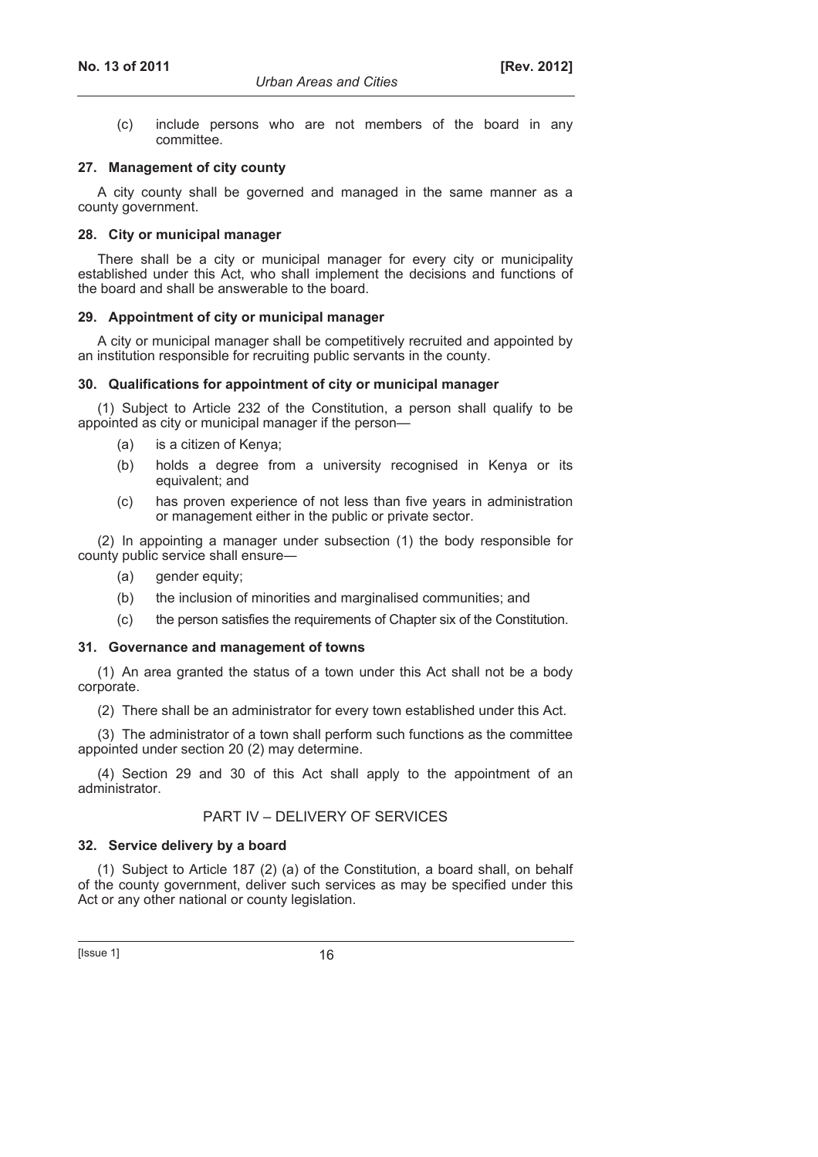(c) include persons who are not members of the board in any committee.

### **27. Management of city county**

A city county shall be governed and managed in the same manner as a county government.

### **28. City or municipal manager**

There shall be a city or municipal manager for every city or municipality established under this Act, who shall implement the decisions and functions of the board and shall be answerable to the board.

### **29. Appointment of city or municipal manager**

A city or municipal manager shall be competitively recruited and appointed by an institution responsible for recruiting public servants in the county.

# **30. Qualifications for appointment of city or municipal manager**

(1) Subject to Article 232 of the Constitution, a person shall qualify to be appointed as city or municipal manager if the person—

- (a) is a citizen of Kenya;
- (b) holds a degree from a university recognised in Kenya or its equivalent; and
- (c) has proven experience of not less than five years in administration or management either in the public or private sector.

(2) In appointing a manager under subsection (1) the body responsible for county public service shall ensure―

- (a) gender equity;
- (b) the inclusion of minorities and marginalised communities; and
- (c) the person satisfies the requirements of Chapter six of the Constitution.

### **31. Governance and management of towns**

(1) An area granted the status of a town under this Act shall not be a body corporate.

(2) There shall be an administrator for every town established under this Act.

(3) The administrator of a town shall perform such functions as the committee appointed under section 20 (2) may determine.

(4) Section 29 and 30 of this Act shall apply to the appointment of an administrator.

### PART IV – DELIVERY OF SERVICES

### **32. Service delivery by a board**

(1) Subject to Article 187 (2) (a) of the Constitution, a board shall, on behalf of the county government, deliver such services as may be specified under this Act or any other national or county legislation.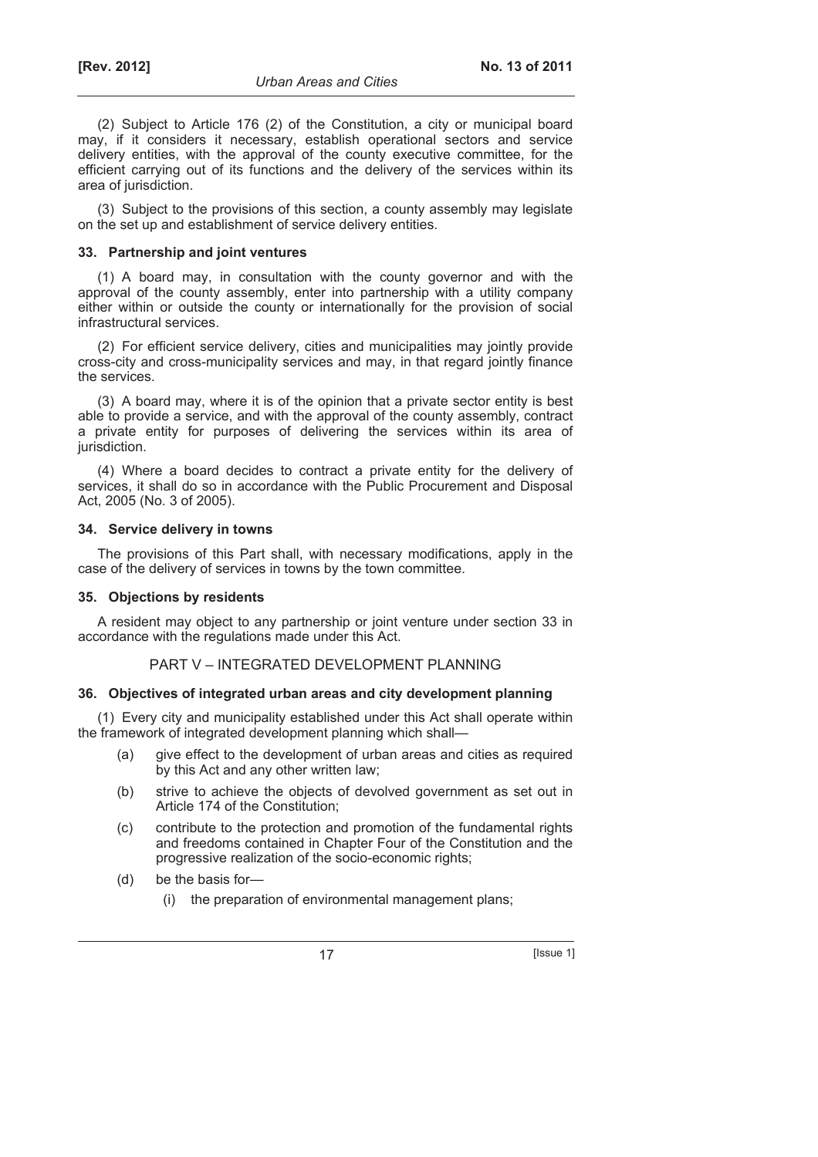(2) Subject to Article 176 (2) of the Constitution, a city or municipal board may, if it considers it necessary, establish operational sectors and service delivery entities, with the approval of the county executive committee, for the efficient carrying out of its functions and the delivery of the services within its area of jurisdiction.

(3) Subject to the provisions of this section, a county assembly may legislate on the set up and establishment of service delivery entities.

### **33. Partnership and joint ventures**

(1) A board may, in consultation with the county governor and with the approval of the county assembly, enter into partnership with a utility company either within or outside the county or internationally for the provision of social infrastructural services.

(2) For efficient service delivery, cities and municipalities may jointly provide cross-city and cross-municipality services and may, in that regard jointly finance the services.

(3) A board may, where it is of the opinion that a private sector entity is best able to provide a service, and with the approval of the county assembly, contract a private entity for purposes of delivering the services within its area of jurisdiction.

(4) Where a board decides to contract a private entity for the delivery of services, it shall do so in accordance with the Public Procurement and Disposal Act, 2005 (No. 3 of 2005).

### **34. Service delivery in towns**

The provisions of this Part shall, with necessary modifications, apply in the case of the delivery of services in towns by the town committee.

### **35. Objections by residents**

A resident may object to any partnership or joint venture under section 33 in accordance with the regulations made under this Act.

### PART V – INTEGRATED DEVELOPMENT PLANNING

### **36. Objectives of integrated urban areas and city development planning**

(1) Every city and municipality established under this Act shall operate within the framework of integrated development planning which shall—

- (a) give effect to the development of urban areas and cities as required by this Act and any other written law;
- (b) strive to achieve the objects of devolved government as set out in Article 174 of the Constitution:
- (c) contribute to the protection and promotion of the fundamental rights and freedoms contained in Chapter Four of the Constitution and the progressive realization of the socio-economic rights;
- (d) be the basis for—
	- (i) the preparation of environmental management plans;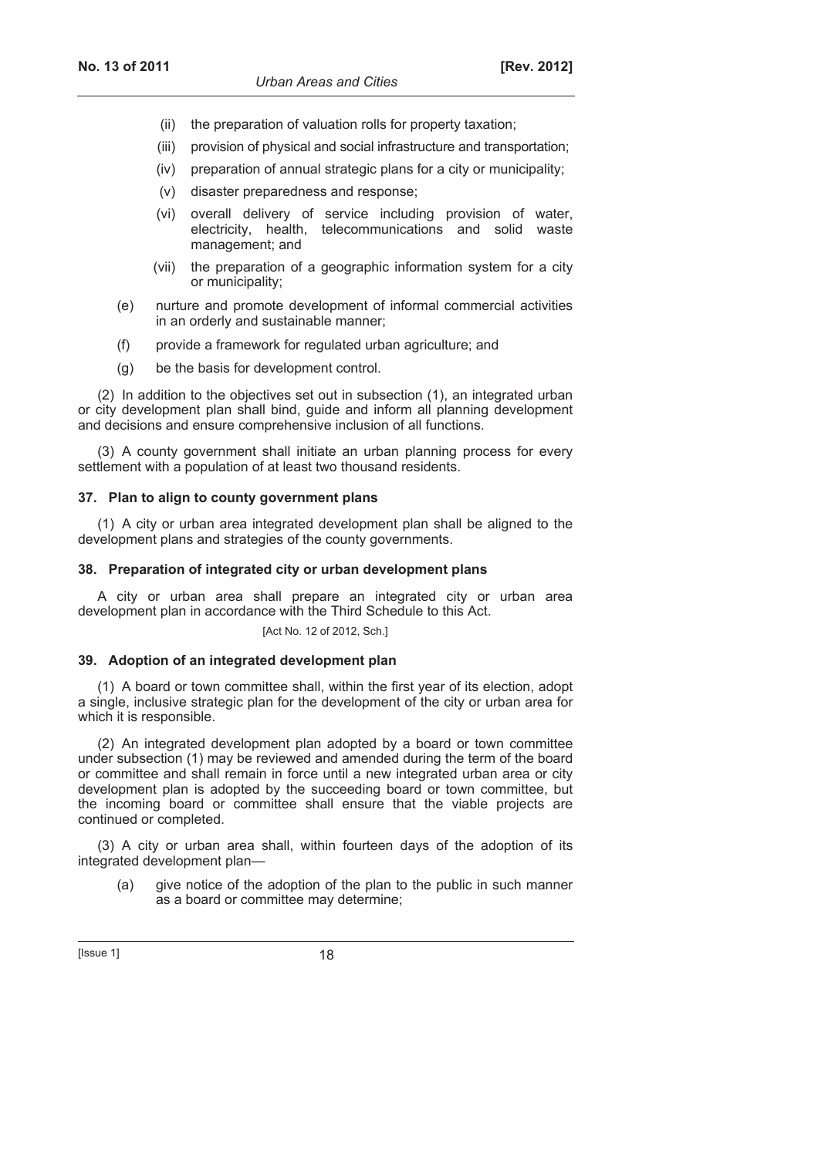- (ii) the preparation of valuation rolls for property taxation;
- (iii) provision of physical and social infrastructure and transportation;
- (iv) preparation of annual strategic plans for a city or municipality;
- (v) disaster preparedness and response;
- (vi) overall delivery of service including provision of water, electricity, health, telecommunications and solid waste management; and
- (vii) the preparation of a geographic information system for a city or municipality;
- (e) nurture and promote development of informal commercial activities in an orderly and sustainable manner;
- (f) provide a framework for regulated urban agriculture; and
- (g) be the basis for development control.

(2) In addition to the objectives set out in subsection (1), an integrated urban or city development plan shall bind, guide and inform all planning development and decisions and ensure comprehensive inclusion of all functions.

(3) A county government shall initiate an urban planning process for every settlement with a population of at least two thousand residents.

### **37. Plan to align to county government plans**

(1) A city or urban area integrated development plan shall be aligned to the development plans and strategies of the county governments.

#### **38. Preparation of integrated city or urban development plans**

A city or urban area shall prepare an integrated city or urban area development plan in accordance with the Third Schedule to this Act.

[Act No. 12 of 2012, Sch.]

### **39. Adoption of an integrated development plan**

(1) A board or town committee shall, within the first year of its election, adopt a single, inclusive strategic plan for the development of the city or urban area for which it is responsible.

(2) An integrated development plan adopted by a board or town committee under subsection (1) may be reviewed and amended during the term of the board or committee and shall remain in force until a new integrated urban area or city development plan is adopted by the succeeding board or town committee, but the incoming board or committee shall ensure that the viable projects are continued or completed.

(3) A city or urban area shall, within fourteen days of the adoption of its integrated development plan—

 (a) give notice of the adoption of the plan to the public in such manner as a board or committee may determine;

 $[|$ Ssue 1 $]$  18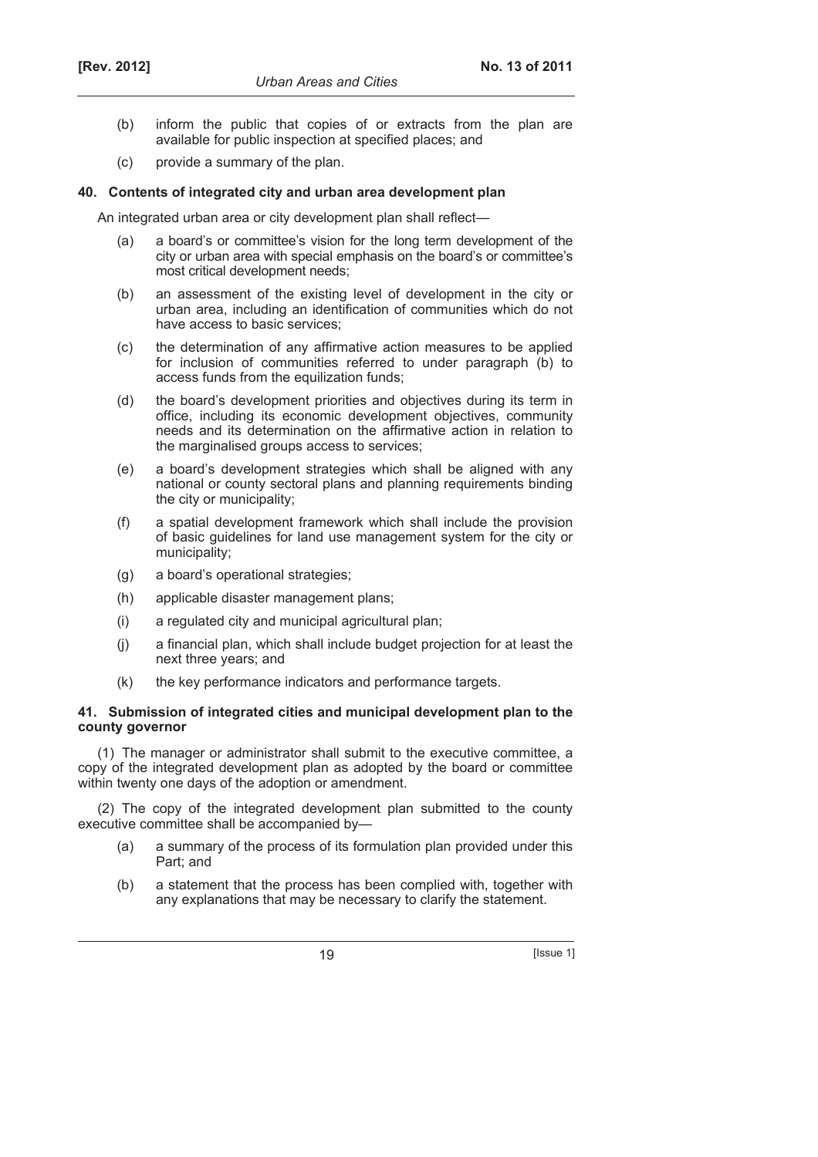- (b) inform the public that copies of or extracts from the plan are available for public inspection at specified places; and
- (c) provide a summary of the plan.

#### **40. Contents of integrated city and urban area development plan**

An integrated urban area or city development plan shall reflect—

- (a) a board's or committee's vision for the long term development of the city or urban area with special emphasis on the board's or committee's most critical development needs;
- (b) an assessment of the existing level of development in the city or urban area, including an identification of communities which do not have access to basic services;
- (c) the determination of any affirmative action measures to be applied for inclusion of communities referred to under paragraph (b) to access funds from the equilization funds;
- (d) the board's development priorities and objectives during its term in office, including its economic development objectives, community needs and its determination on the affirmative action in relation to the marginalised groups access to services;
- (e) a board's development strategies which shall be aligned with any national or county sectoral plans and planning requirements binding the city or municipality;
- (f) a spatial development framework which shall include the provision of basic guidelines for land use management system for the city or municipality;
- (g) a board's operational strategies;
- (h) applicable disaster management plans;
- (i) a regulated city and municipal agricultural plan;
- (j) a financial plan, which shall include budget projection for at least the next three years; and
- (k) the key performance indicators and performance targets.

### **41. Submission of integrated cities and municipal development plan to the county governor**

(1) The manager or administrator shall submit to the executive committee, a copy of the integrated development plan as adopted by the board or committee within twenty one days of the adoption or amendment.

(2) The copy of the integrated development plan submitted to the county executive committee shall be accompanied by—

- (a) a summary of the process of its formulation plan provided under this Part; and
- (b) a statement that the process has been complied with, together with any explanations that may be necessary to clarify the statement.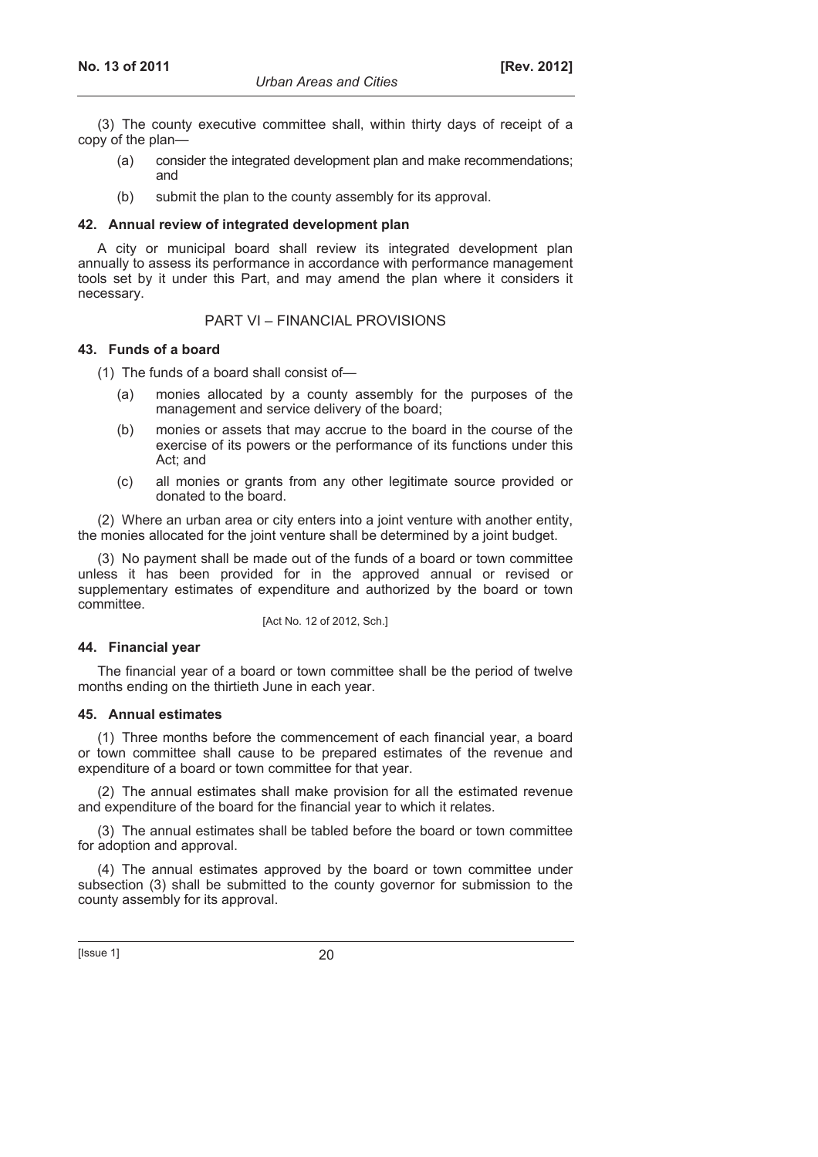(3) The county executive committee shall, within thirty days of receipt of a copy of the plan—

- (a) consider the integrated development plan and make recommendations; and
- (b) submit the plan to the county assembly for its approval.

#### **42. Annual review of integrated development plan**

A city or municipal board shall review its integrated development plan annually to assess its performance in accordance with performance management tools set by it under this Part, and may amend the plan where it considers it necessary.

### PART VI – FINANCIAL PROVISIONS

#### **43. Funds of a board**

(1) The funds of a board shall consist of—

- (a) monies allocated by a county assembly for the purposes of the management and service delivery of the board;
- (b) monies or assets that may accrue to the board in the course of the exercise of its powers or the performance of its functions under this Act; and
- (c) all monies or grants from any other legitimate source provided or donated to the board.

(2) Where an urban area or city enters into a joint venture with another entity, the monies allocated for the joint venture shall be determined by a joint budget.

(3) No payment shall be made out of the funds of a board or town committee unless it has been provided for in the approved annual or revised or supplementary estimates of expenditure and authorized by the board or town committee.

[Act No. 12 of 2012, Sch.]

### **44. Financial year**

The financial year of a board or town committee shall be the period of twelve months ending on the thirtieth June in each year.

### **45. Annual estimates**

(1) Three months before the commencement of each financial year, a board or town committee shall cause to be prepared estimates of the revenue and expenditure of a board or town committee for that year.

(2) The annual estimates shall make provision for all the estimated revenue and expenditure of the board for the financial year to which it relates.

(3) The annual estimates shall be tabled before the board or town committee for adoption and approval.

(4) The annual estimates approved by the board or town committee under subsection (3) shall be submitted to the county governor for submission to the county assembly for its approval.

 $[|$  Issue 1 $]$  20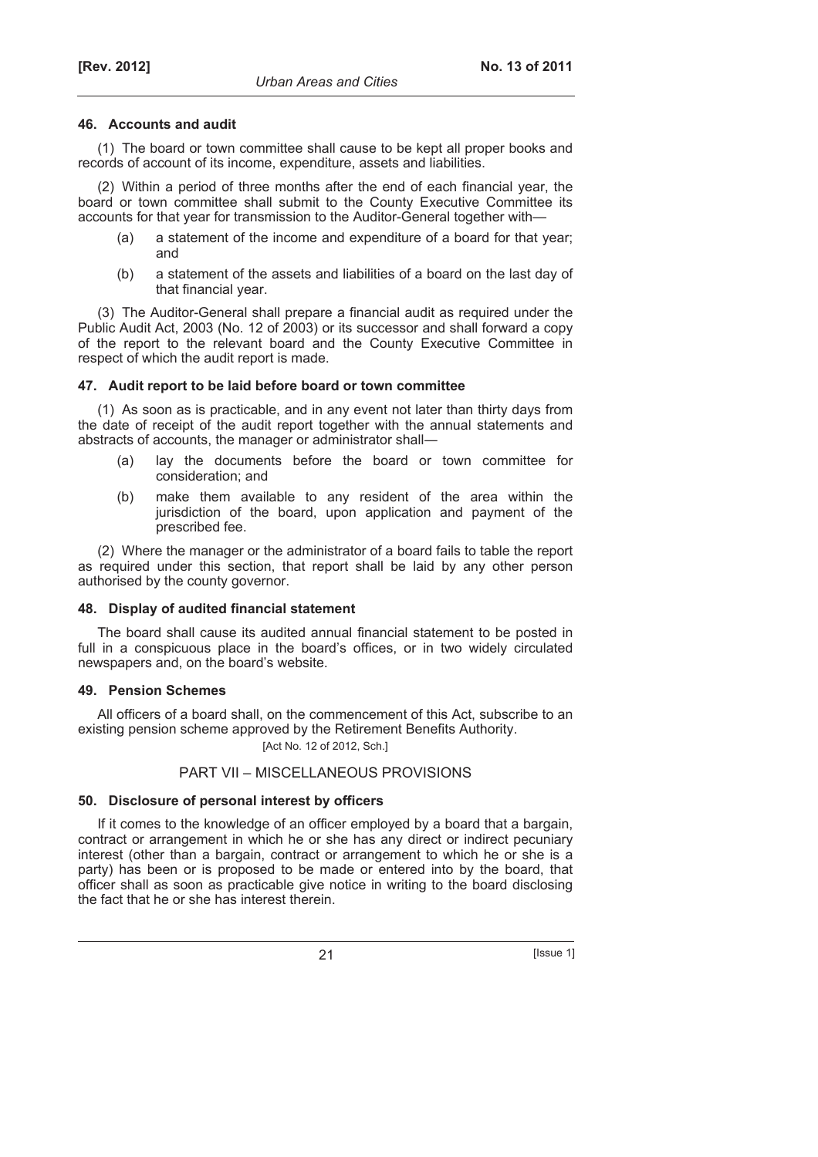### **46. Accounts and audit**

(1) The board or town committee shall cause to be kept all proper books and records of account of its income, expenditure, assets and liabilities.

(2) Within a period of three months after the end of each financial year, the board or town committee shall submit to the County Executive Committee its accounts for that year for transmission to the Auditor-General together with—

- (a) a statement of the income and expenditure of a board for that year; and
- (b) a statement of the assets and liabilities of a board on the last day of that financial year.

(3) The Auditor-General shall prepare a financial audit as required under the Public Audit Act, 2003 (No. 12 of 2003) or its successor and shall forward a copy of the report to the relevant board and the County Executive Committee in respect of which the audit report is made.

# **47. Audit report to be laid before board or town committee**

(1) As soon as is practicable, and in any event not later than thirty days from the date of receipt of the audit report together with the annual statements and abstracts of accounts, the manager or administrator shall―

- (a) lay the documents before the board or town committee for consideration; and
- (b) make them available to any resident of the area within the jurisdiction of the board, upon application and payment of the prescribed fee.

(2) Where the manager or the administrator of a board fails to table the report as required under this section, that report shall be laid by any other person authorised by the county governor.

### **48. Display of audited financial statement**

The board shall cause its audited annual financial statement to be posted in full in a conspicuous place in the board's offices, or in two widely circulated newspapers and, on the board's website.

### **49. Pension Schemes**

All officers of a board shall, on the commencement of this Act, subscribe to an existing pension scheme approved by the Retirement Benefits Authority.

[Act No. 12 of 2012, Sch.]

# PART VII – MISCELLANEOUS PROVISIONS

# **50. Disclosure of personal interest by officers**

If it comes to the knowledge of an officer employed by a board that a bargain, contract or arrangement in which he or she has any direct or indirect pecuniary interest (other than a bargain, contract or arrangement to which he or she is a party) has been or is proposed to be made or entered into by the board, that officer shall as soon as practicable give notice in writing to the board disclosing the fact that he or she has interest therein.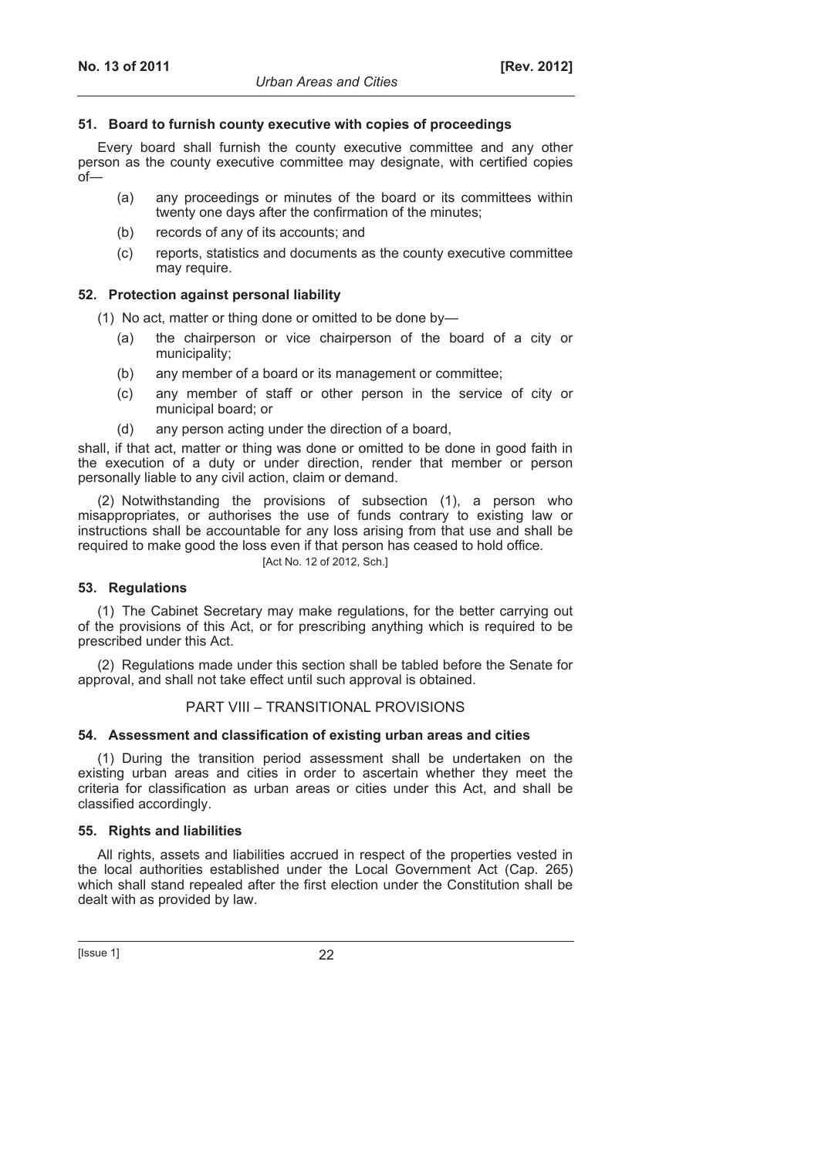### **51. Board to furnish county executive with copies of proceedings**

Every board shall furnish the county executive committee and any other person as the county executive committee may designate, with certified copies  $of$ 

- (a) any proceedings or minutes of the board or its committees within twenty one days after the confirmation of the minutes;
- (b) records of any of its accounts; and
- (c) reports, statistics and documents as the county executive committee may require.

# **52. Protection against personal liability**

(1) No act, matter or thing done or omitted to be done by—

- (a) the chairperson or vice chairperson of the board of a city or municipality;
- (b) any member of a board or its management or committee;
- (c) any member of staff or other person in the service of city or municipal board; or
- (d) any person acting under the direction of a board,

shall, if that act, matter or thing was done or omitted to be done in good faith in the execution of a duty or under direction, render that member or person personally liable to any civil action, claim or demand.

(2) Notwithstanding the provisions of subsection (1), a person who misappropriates, or authorises the use of funds contrary to existing law or instructions shall be accountable for any loss arising from that use and shall be required to make good the loss even if that person has ceased to hold office.

#### [Act No. 12 of 2012, Sch.]

# **53. Regulations**

(1) The Cabinet Secretary may make regulations, for the better carrying out of the provisions of this Act, or for prescribing anything which is required to be prescribed under this Act.

(2) Regulations made under this section shall be tabled before the Senate for approval, and shall not take effect until such approval is obtained.

### PART VIII – TRANSITIONAL PROVISIONS

### **54. Assessment and classification of existing urban areas and cities**

(1) During the transition period assessment shall be undertaken on the existing urban areas and cities in order to ascertain whether they meet the criteria for classification as urban areas or cities under this Act, and shall be classified accordingly.

# **55. Rights and liabilities**

All rights, assets and liabilities accrued in respect of the properties vested in the local authorities established under the Local Government Act (Cap. 265) which shall stand repealed after the first election under the Constitution shall be dealt with as provided by law.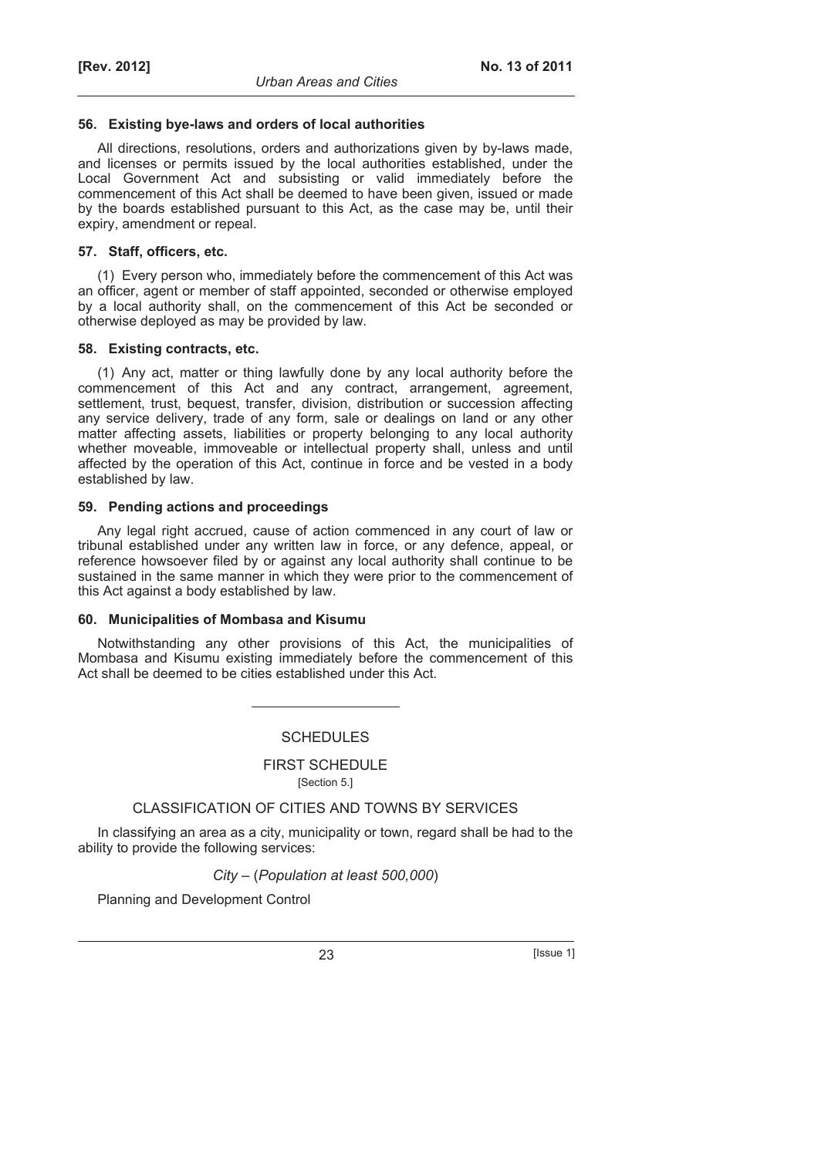### **56. Existing bye-laws and orders of local authorities**

All directions, resolutions, orders and authorizations given by by-laws made, and licenses or permits issued by the local authorities established, under the Local Government Act and subsisting or valid immediately before the commencement of this Act shall be deemed to have been given, issued or made by the boards established pursuant to this Act, as the case may be, until their expiry, amendment or repeal.

#### **57. Staff, officers, etc.**

(1) Every person who, immediately before the commencement of this Act was an officer, agent or member of staff appointed, seconded or otherwise employed by a local authority shall, on the commencement of this Act be seconded or otherwise deployed as may be provided by law.

### **58. Existing contracts, etc.**

(1) Any act, matter or thing lawfully done by any local authority before the commencement of this Act and any contract, arrangement, agreement, settlement, trust, bequest, transfer, division, distribution or succession affecting any service delivery, trade of any form, sale or dealings on land or any other matter affecting assets, liabilities or property belonging to any local authority whether moveable, immoveable or intellectual property shall, unless and until affected by the operation of this Act, continue in force and be vested in a body established by law.

### **59. Pending actions and proceedings**

Any legal right accrued, cause of action commenced in any court of law or tribunal established under any written law in force, or any defence, appeal, or reference howsoever filed by or against any local authority shall continue to be sustained in the same manner in which they were prior to the commencement of this Act against a body established by law.

### **60. Municipalities of Mombasa and Kisumu**

Notwithstanding any other provisions of this Act, the municipalities of Mombasa and Kisumu existing immediately before the commencement of this Act shall be deemed to be cities established under this Act.

**SCHEDULES** 

FIRST SCHEDULE

[Section 5.]

# CLASSIFICATION OF CITIES AND TOWNS BY SERVICES

In classifying an area as a city, municipality or town, regard shall be had to the ability to provide the following services:

*City –* (*Population at least 500,000*)

Planning and Development Control

23 **Issue 1**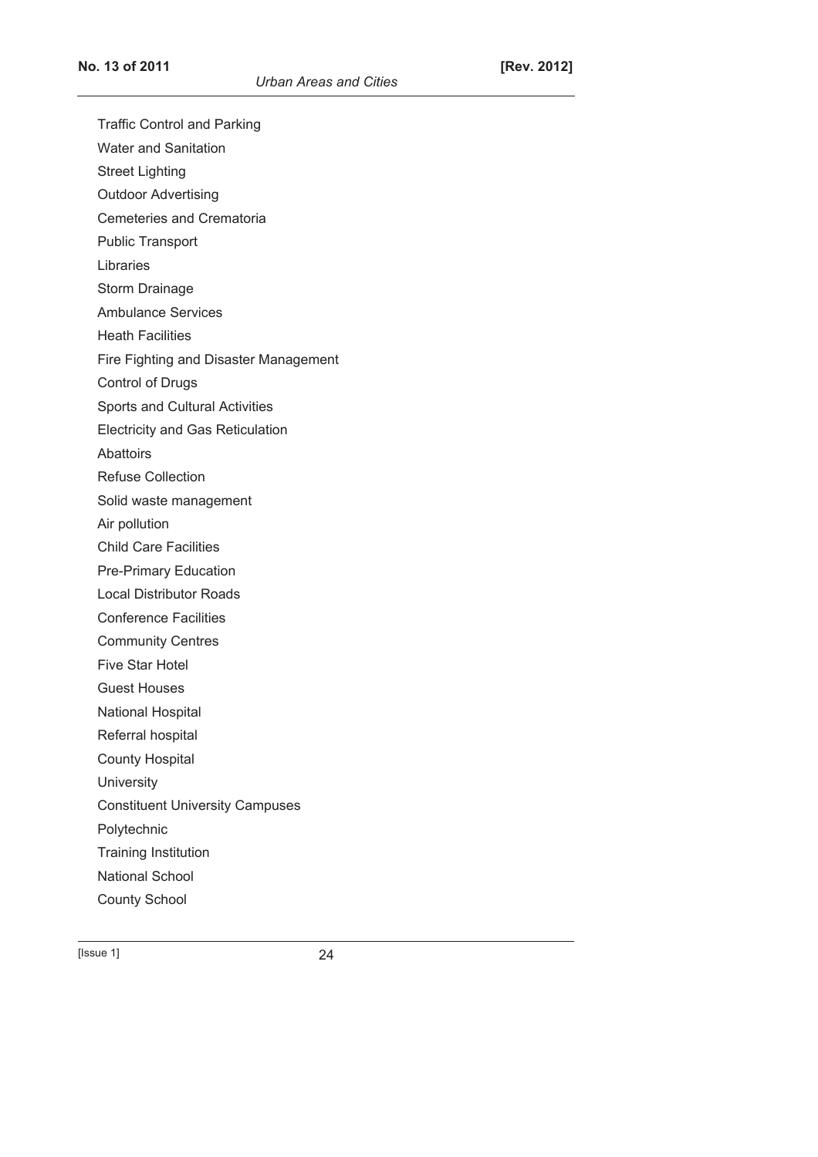Traffic Control and Parking

Water and Sanitation

Street Lighting

Outdoor Advertising

Cemeteries and Crematoria

Public Transport

Libraries

Storm Drainage

Ambulance Services

Heath Facilities

Fire Fighting and Disaster Management

Control of Drugs

Sports and Cultural Activities

Electricity and Gas Reticulation

Abattoirs

Refuse Collection

Solid waste management

Air pollution

Child Care Facilities

Pre-Primary Education

Local Distributor Roads

Conference Facilities

Community Centres

Five Star Hotel

Guest Houses

National Hospital

Referral hospital

County Hospital

**University** 

Constituent University Campuses

Polytechnic

Training Institution

National School

County School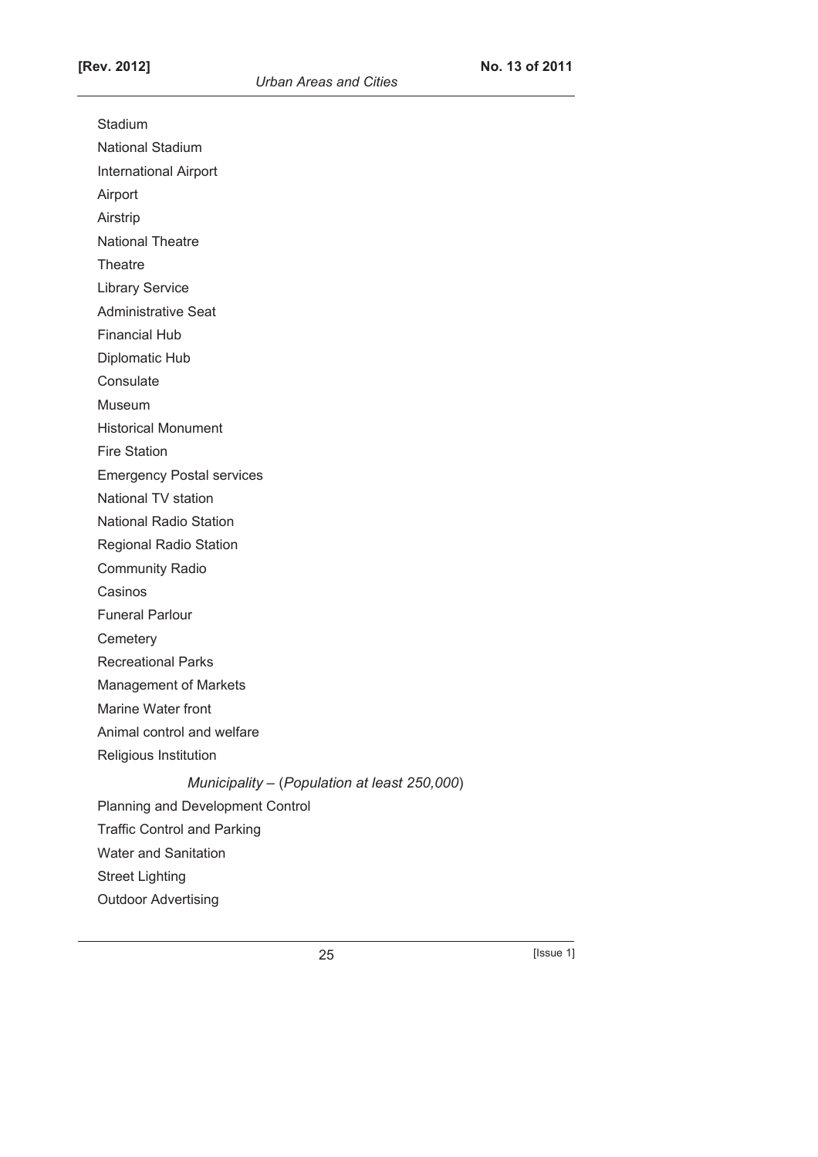Stadium

National Stadium

International Airport

Airport

Airstrip

National Theatre

**Theatre** 

Library Service

Administrative Seat

Financial Hub

Diplomatic Hub

**Consulate** 

Museum

Historical Monument

Fire Station

Emergency Postal services

National TV station

National Radio Station

Regional Radio Station

Community Radio

Casinos

Funeral Parlour

**Cemetery** 

Recreational Parks

Management of Markets

Marine Water front

Animal control and welfare

Religious Institution

*Municipality –* (*Population at least 250,000*)

Planning and Development Control

Traffic Control and Parking

Water and Sanitation

Street Lighting

Outdoor Advertising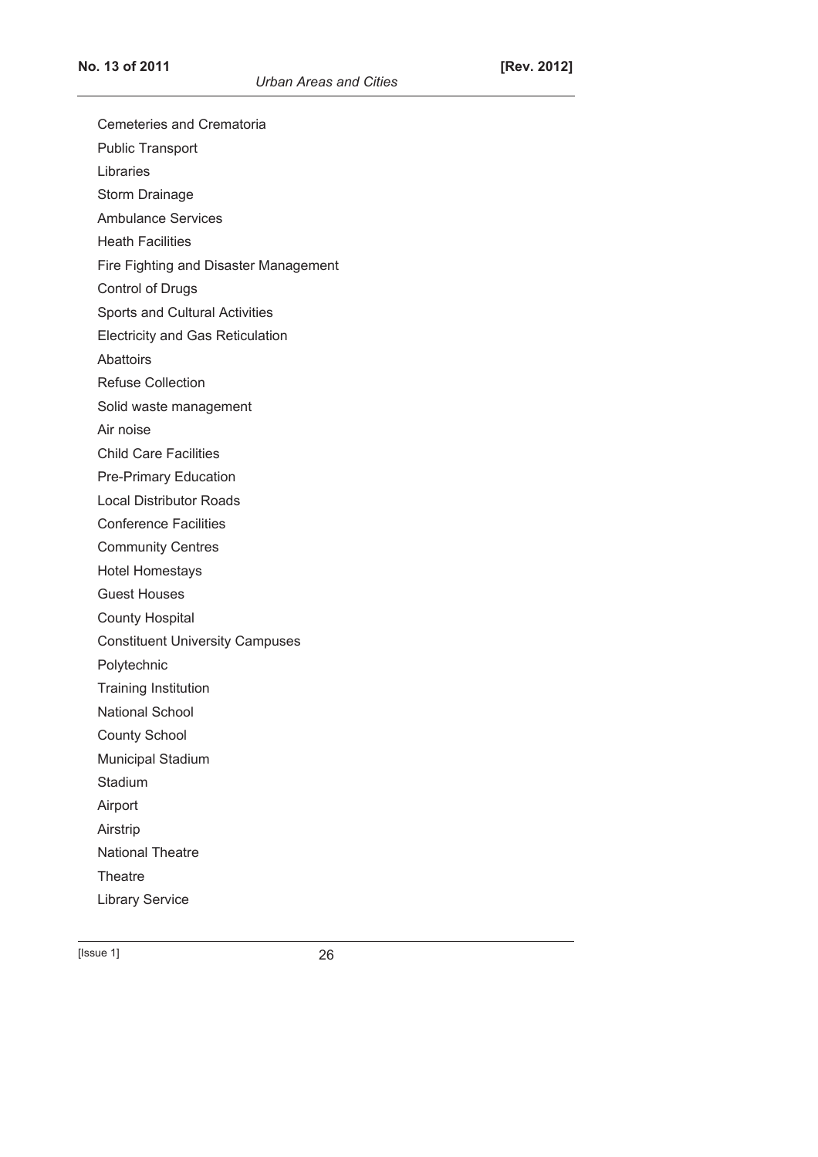| <b>Cemeteries and Crematoria</b>        |  |  |
|-----------------------------------------|--|--|
| <b>Public Transport</b>                 |  |  |
| Libraries                               |  |  |
| Storm Drainage                          |  |  |
| <b>Ambulance Services</b>               |  |  |
| <b>Heath Facilities</b>                 |  |  |
| Fire Fighting and Disaster Management   |  |  |
| <b>Control of Drugs</b>                 |  |  |
| Sports and Cultural Activities          |  |  |
| <b>Electricity and Gas Reticulation</b> |  |  |
| Abattoirs                               |  |  |
| <b>Refuse Collection</b>                |  |  |
| Solid waste management                  |  |  |
| Air noise                               |  |  |
| <b>Child Care Facilities</b>            |  |  |
| <b>Pre-Primary Education</b>            |  |  |
| <b>Local Distributor Roads</b>          |  |  |
| <b>Conference Facilities</b>            |  |  |
| <b>Community Centres</b>                |  |  |
| <b>Hotel Homestays</b>                  |  |  |
| <b>Guest Houses</b>                     |  |  |
| <b>County Hospital</b>                  |  |  |
| <b>Constituent University Campuses</b>  |  |  |
| Polytechnic                             |  |  |
| <b>Training Institution</b>             |  |  |
| National School                         |  |  |
| <b>County School</b>                    |  |  |
| <b>Municipal Stadium</b>                |  |  |
| Stadium                                 |  |  |
| Airport                                 |  |  |
| Airstrip                                |  |  |
| <b>National Theatre</b>                 |  |  |
| Theatre                                 |  |  |
| <b>Library Service</b>                  |  |  |
|                                         |  |  |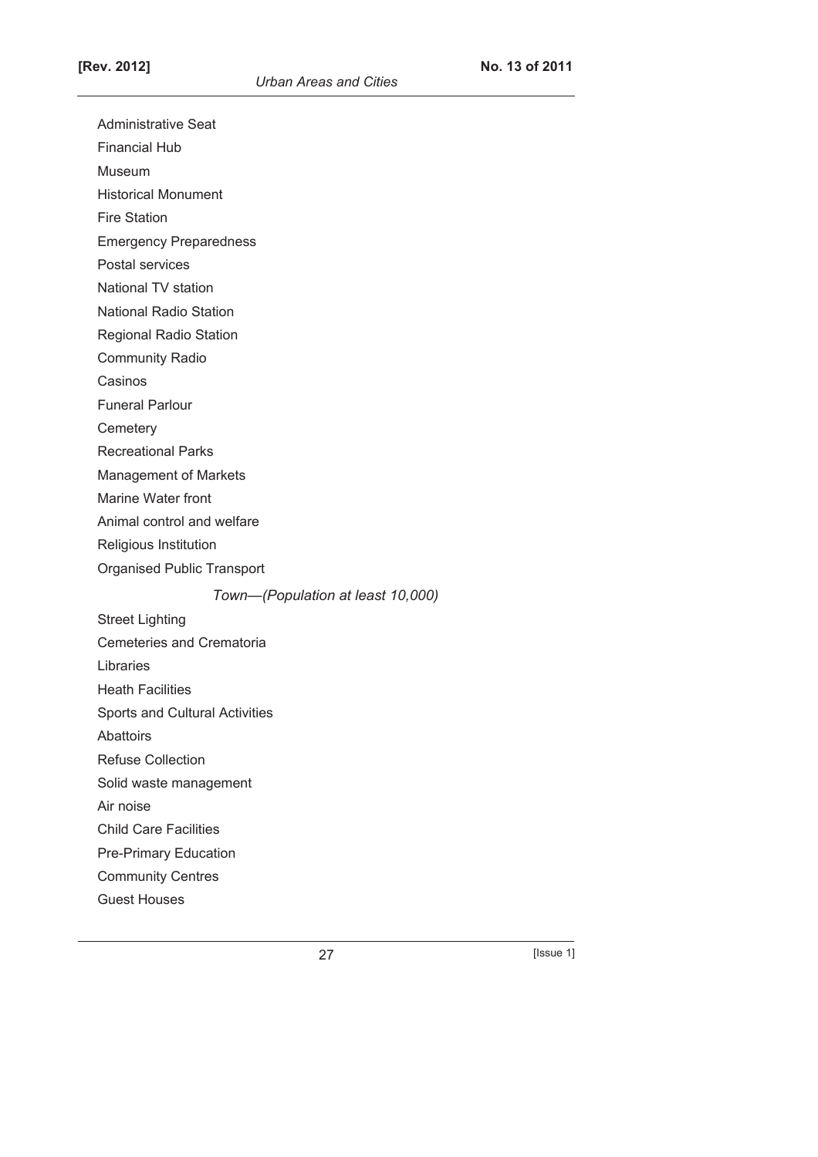Administrative Seat

Financial Hub

Museum

Historical Monument

Fire Station

Emergency Preparedness

Postal services

National TV station

National Radio Station

Regional Radio Station

Community Radio

Casinos

Funeral Parlour

**Cemeterv** 

Recreational Parks

Management of Markets

Marine Water front

Animal control and welfare

Religious Institution

Organised Public Transport

*Town—(Population at least 10,000)* 

Street Lighting Cemeteries and Crematoria Libraries Heath Facilities Sports and Cultural Activities Abattoirs Refuse Collection Solid waste management Air noise Child Care Facilities Pre-Primary Education

Community Centres

Guest Houses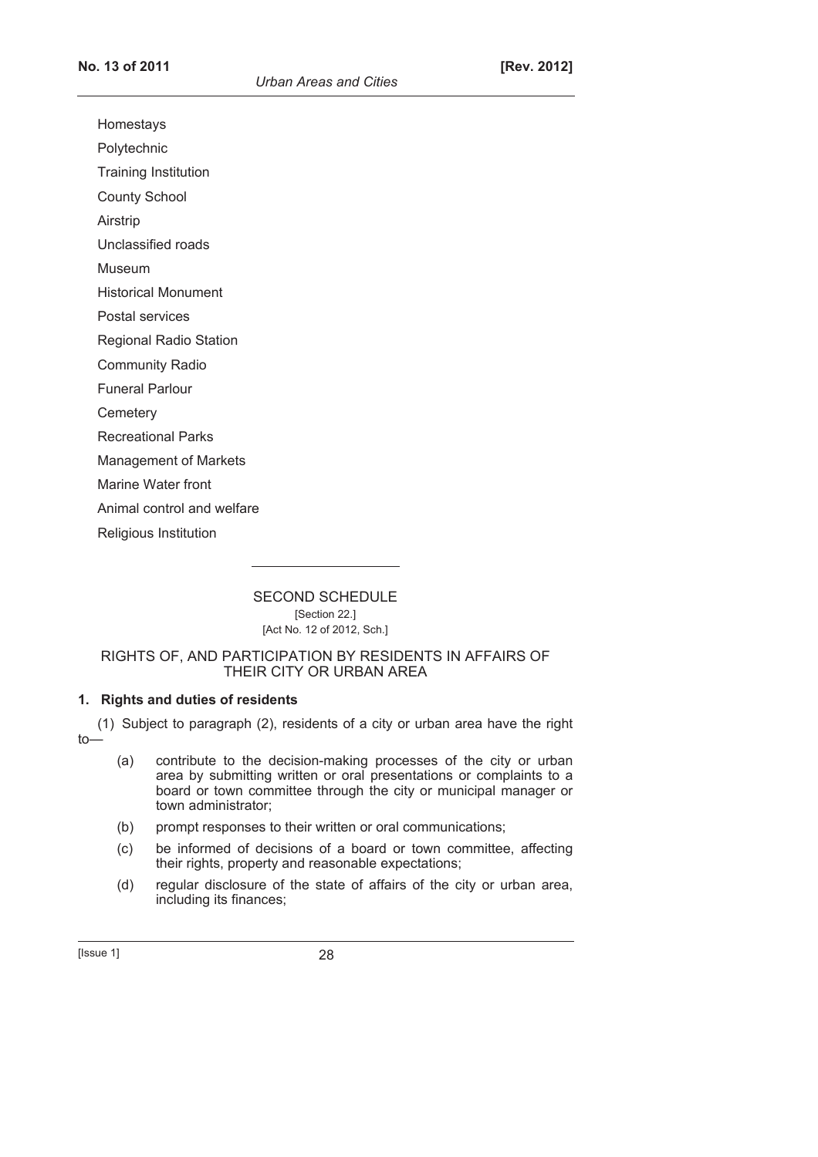Homestays

Polytechnic

Training Institution

County School

Airstrip

Unclassified roads

Museum

Historical Monument

Postal services

Regional Radio Station

Community Radio

Funeral Parlour

**Cemetery** 

Recreational Parks

Management of Markets

Marine Water front

Animal control and welfare

Religious Institution

SECOND SCHEDULE [Section 22.] [Act No. 12 of 2012, Sch.]

### RIGHTS OF, AND PARTICIPATION BY RESIDENTS IN AFFAIRS OF THEIR CITY OR URBAN AREA

# **1. Rights and duties of residents**

(1) Subject to paragraph (2), residents of a city or urban area have the right to—

- (a) contribute to the decision-making processes of the city or urban area by submitting written or oral presentations or complaints to a board or town committee through the city or municipal manager or town administrator;
- (b) prompt responses to their written or oral communications;
- (c) be informed of decisions of a board or town committee, affecting their rights, property and reasonable expectations;
- (d) regular disclosure of the state of affairs of the city or urban area, including its finances;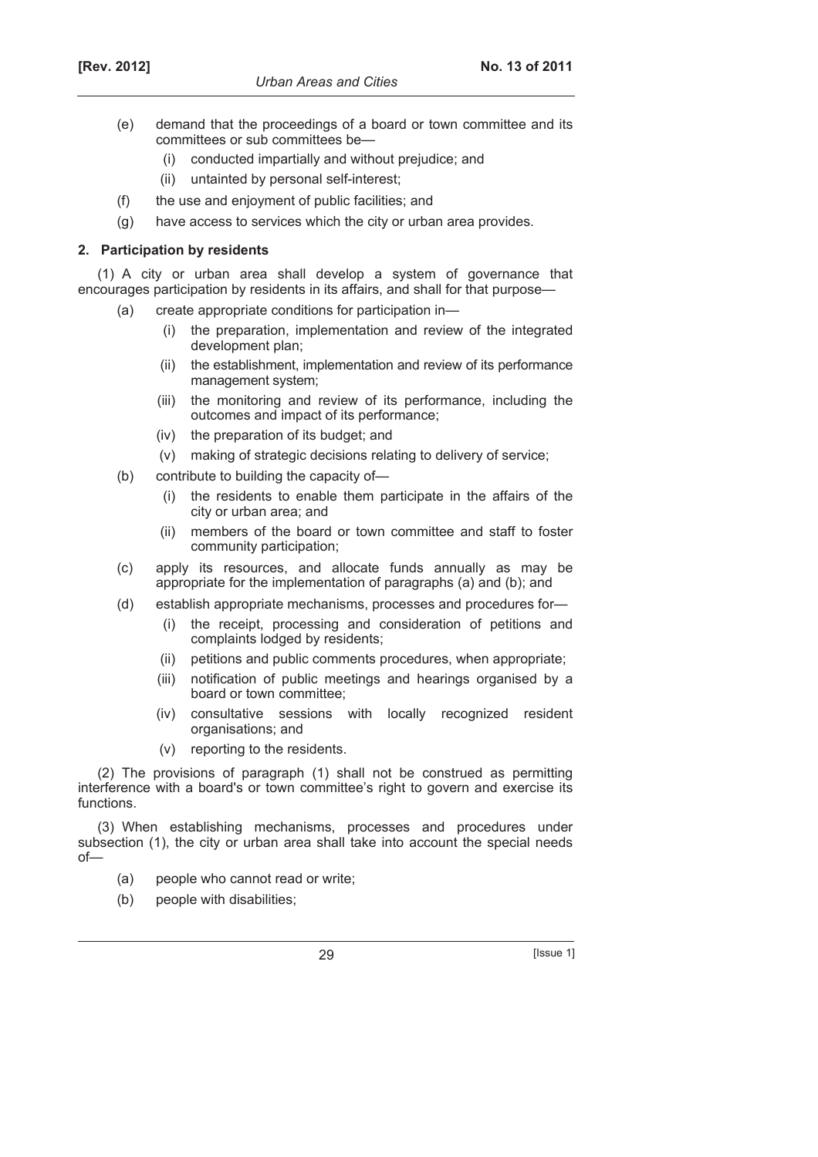- (e) demand that the proceedings of a board or town committee and its committees or sub committees be—
	- (i) conducted impartially and without prejudice; and
	- (ii) untainted by personal self-interest;
- (f) the use and enjoyment of public facilities; and
- (g) have access to services which the city or urban area provides.

### **2. Participation by residents**

(1) A city or urban area shall develop a system of governance that encourages participation by residents in its affairs, and shall for that purpose—

- (a) create appropriate conditions for participation in—
	- (i) the preparation, implementation and review of the integrated development plan;
	- (ii) the establishment, implementation and review of its performance management system;
	- (iii) the monitoring and review of its performance, including the outcomes and impact of its performance;
	- (iv) the preparation of its budget; and
	- (v) making of strategic decisions relating to delivery of service;
- (b) contribute to building the capacity of—
	- (i) the residents to enable them participate in the affairs of the city or urban area; and
	- (ii) members of the board or town committee and staff to foster community participation;
- (c) apply its resources, and allocate funds annually as may be appropriate for the implementation of paragraphs (a) and (b); and
- (d) establish appropriate mechanisms, processes and procedures for—
	- (i) the receipt, processing and consideration of petitions and complaints lodged by residents;
	- (ii) petitions and public comments procedures, when appropriate;
	- (iii) notification of public meetings and hearings organised by a board or town committee;
	- (iv) consultative sessions with locally recognized resident organisations; and
	- (v) reporting to the residents.

(2) The provisions of paragraph (1) shall not be construed as permitting interference with a board's or town committee's right to govern and exercise its functions.

(3) When establishing mechanisms, processes and procedures under subsection (1), the city or urban area shall take into account the special needs of—

- (a) people who cannot read or write;
- (b) people with disabilities;